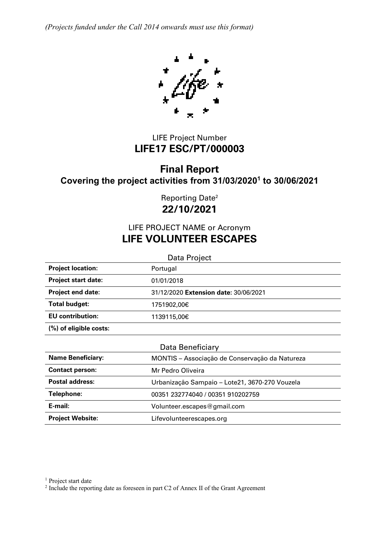*(Projects funded under the Call 2014 onwards must use this format)*



# LIFE Project Number **LIFE17 ESC/PT/000003**

# **Final Report Covering the project activities from 31/03/20201 to 30/06/2021**

Reporting Date2 **22/10/2021**

# LIFE PROJECT NAME or Acronym **LIFE VOLUNTEER ESCAPES**

Data Project **Project location:** Portugal **Project start date:** 01/01/2018 **Project end date:** 31/12/2020 **Extension date:** 30/06/2021 **Total budget:** 1751902,00€ **EU contribution:** 1139115,00€ **(%) of eligible costs:**

| Data Beneficiary         |                                                |  |
|--------------------------|------------------------------------------------|--|
| <b>Name Beneficiary:</b> | MONTIS - Associação de Conservação da Natureza |  |
| <b>Contact person:</b>   | Mr Pedro Oliveira                              |  |
| <b>Postal address:</b>   | Urbanização Sampaio - Lote21, 3670-270 Vouzela |  |
| Telephone:               | 00351 232774040 / 00351 910202759              |  |
| E-mail:                  | Volunteer.escapes@gmail.com                    |  |
| <b>Project Website:</b>  | Lifevolunteerescapes.org                       |  |

<sup>1</sup> Project start date

<sup>2</sup> Include the reporting date as foreseen in part C2 of Annex II of the Grant Agreement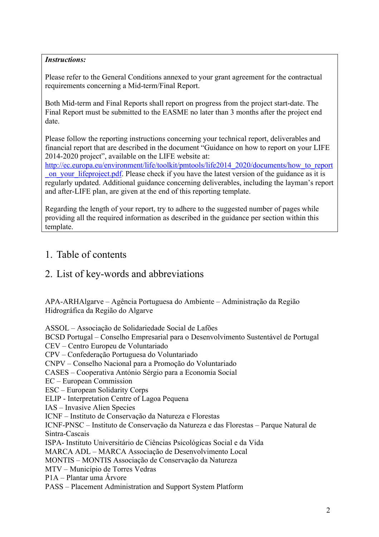# *Instructions:*

Please refer to the General Conditions annexed to your grant agreement for the contractual requirements concerning a Mid-term/Final Report.

Both Mid-term and Final Reports shall report on progress from the project start-date. The Final Report must be submitted to the EASME no later than 3 months after the project end date.

Please follow the reporting instructions concerning your technical report, deliverables and financial report that are described in the document "Guidance on how to report on your LIFE 2014-2020 project", available on the LIFE website at:

http://ec.europa.eu/environment/life/toolkit/pmtools/life2014\_2020/documents/how\_to\_report on your lifeproject.pdf. Please check if you have the latest version of the guidance as it is regularly updated. Additional guidance concerning deliverables, including the layman's report and after-LIFE plan, are given at the end of this reporting template.

Regarding the length of your report, try to adhere to the suggested number of pages while providing all the required information as described in the guidance per section within this template.

# 1. Table of contents

# 2. List of key-words and abbreviations

APA-ARHAlgarve – Agência Portuguesa do Ambiente – Administração da Região Hidrográfica da Região do Algarve

ASSOL – Associação de Solidariedade Social de Lafões BCSD Portugal – Conselho Empresarial para o Desenvolvimento Sustentável de Portugal CEV – Centro Europeu de Voluntariado CPV – Confederação Portuguesa do Voluntariado CNPV – Conselho Nacional para a Promoção do Voluntariado CASES – Cooperativa António Sérgio para a Economia Social EC – European Commission ESC – European Solidarity Corps ELIP - Interpretation Centre of Lagoa Pequena IAS – Invasive Alien Species ICNF – Instituto de Conservação da Natureza e Florestas ICNF-PNSC – Instituto de Conservação da Natureza e das Florestas – Parque Natural de Sintra-Cascais ISPA- Instituto Universitário de Ciências Psicológicas Social e da Vida MARCA ADL – MARCA Associação de Desenvolvimento Local MONTIS – MONTIS Associação de Conservação da Natureza MTV – Município de Torres Vedras P1A – Plantar uma Árvore PASS – Placement Administration and Support System Platform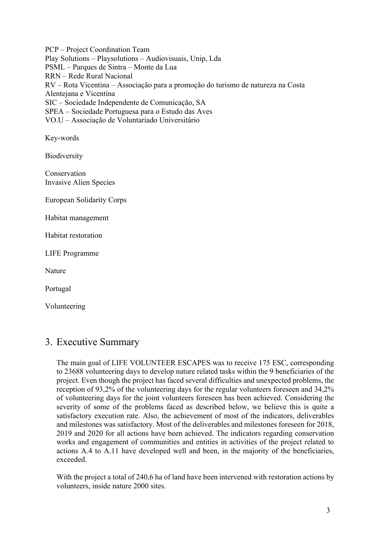PCP – Project Coordination Team Play Solutions – Playsolutions – Audiovisuais, Unip, Lda PSML – Parques de Sintra – Monte da Lua RRN – Rede Rural Nacional RV – Rota Vicentina – Associação para a promoção do turismo de natureza na Costa Alentejana e Vicentina SIC – Sociedade Independente de Comunicação, SA SPEA – Sociedade Portuguesa para o Estudo das Aves VO.U – Associação de Voluntariado Universitário

Key-words

**Biodiversity** 

Conservation Invasive Alien Species

European Solidarity Corps

Habitat management

Habitat restoration

LIFE Programme

Nature

Portugal

Volunteering

# 3. Executive Summary

The main goal of LIFE VOLUNTEER ESCAPES was to receive 175 ESC, corresponding to 23688 volunteering days to develop nature related tasks within the 9 beneficiaries of the project. Even though the project has faced several difficulties and unexpected problems, the reception of 93,2% of the volunteering days for the regular volunteers foreseen and 34,2% of volunteering days for the joint volunteers foreseen has been achieved. Considering the severity of some of the problems faced as described below, we believe this is quite a satisfactory execution rate. Also, the achievement of most of the indicators, deliverables and milestones was satisfactory. Most of the deliverables and milestones foreseen for 2018, 2019 and 2020 for all actions have been achieved. The indicators regarding conservation works and engagement of communities and entities in activities of the project related to actions A.4 to A.11 have developed well and been, in the majority of the beneficiaries, exceeded.

With the project a total of 240,6 ha of land have been intervened with restoration actions by volunteers, inside nature 2000 sites.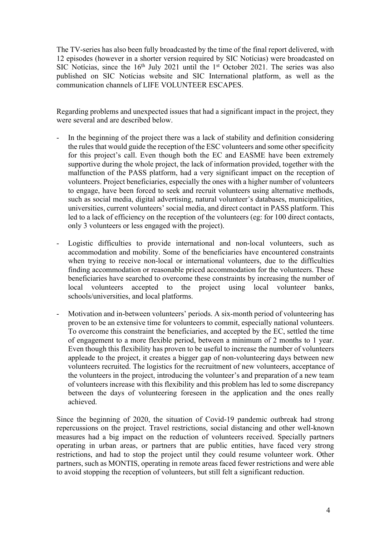The TV-series has also been fully broadcasted by the time of the final report delivered, with 12 episodes (however in a shorter version required by SIC Notícias) were broadcasted on SIC Notícias, since the  $16<sup>th</sup>$  July 2021 until the 1<sup>st</sup> October 2021. The series was also published on SIC Notícias website and SIC International platform, as well as the communication channels of LIFE VOLUNTEER ESCAPES.

Regarding problems and unexpected issues that had a significant impact in the project, they were several and are described below.

- In the beginning of the project there was a lack of stability and definition considering the rules that would guide the reception of the ESC volunteers and some other specificity for this project's call. Even though both the EC and EASME have been extremely supportive during the whole project, the lack of information provided, together with the malfunction of the PASS platform, had a very significant impact on the reception of volunteers. Project beneficiaries, especially the ones with a higher number of volunteers to engage, have been forced to seek and recruit volunteers using alternative methods, such as social media, digital advertising, natural volunteer's databases, municipalities, universities, current volunteers' social media, and direct contact in PASS platform. This led to a lack of efficiency on the reception of the volunteers (eg: for 100 direct contacts, only 3 volunteers or less engaged with the project).
- Logistic difficulties to provide international and non-local volunteers, such as accommodation and mobility. Some of the beneficiaries have encountered constraints when trying to receive non-local or international volunteers, due to the difficulties finding accommodation or reasonable priced accommodation for the volunteers. These beneficiaries have searched to overcome these constraints by increasing the number of local volunteers accepted to the project using local volunteer banks, schools/universities, and local platforms.
- Motivation and in-between volunteers' periods. A six-month period of volunteering has proven to be an extensive time for volunteers to commit, especially national volunteers. To overcome this constraint the beneficiaries, and accepted by the EC, settled the time of engagement to a more flexible period, between a minimum of 2 months to 1 year. Even though this flexibility has proven to be useful to increase the number of volunteers appleade to the project, it creates a bigger gap of non-volunteering days between new volunteers recruited. The logistics for the recruitment of new volunteers, acceptance of the volunteers in the project, introducing the volunteer's and preparation of a new team of volunteers increase with this flexibility and this problem has led to some discrepancy between the days of volunteering foreseen in the application and the ones really achieved.

Since the beginning of 2020, the situation of Covid-19 pandemic outbreak had strong repercussions on the project. Travel restrictions, social distancing and other well-known measures had a big impact on the reduction of volunteers received. Specially partners operating in urban areas, or partners that are public entities, have faced very strong restrictions, and had to stop the project until they could resume volunteer work. Other partners, such as MONTIS, operating in remote areas faced fewer restrictions and were able to avoid stopping the reception of volunteers, but still felt a significant reduction.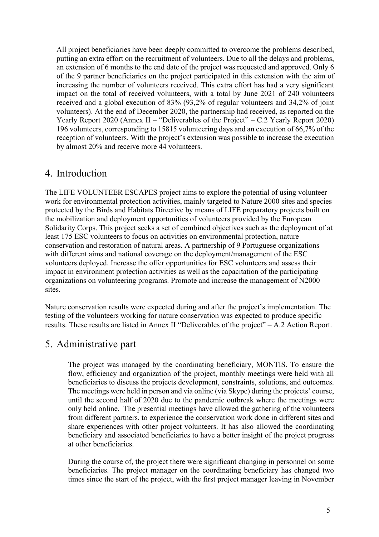All project beneficiaries have been deeply committed to overcome the problems described, putting an extra effort on the recruitment of volunteers. Due to all the delays and problems, an extension of 6 months to the end date of the project was requested and approved. Only 6 of the 9 partner beneficiaries on the project participated in this extension with the aim of increasing the number of volunteers received. This extra effort has had a very significant impact on the total of received volunteers, with a total by June 2021 of 240 volunteers received and a global execution of 83% (93,2% of regular volunteers and 34,2% of joint volunteers). At the end of December 2020, the partnership had received, as reported on the Yearly Report 2020 (Annex II – "Deliverables of the Project" – C.2 Yearly Report 2020) 196 volunteers, corresponding to 15815 volunteering days and an execution of 66,7% of the reception of volunteers. With the project's extension was possible to increase the execution by almost 20% and receive more 44 volunteers.

# 4. Introduction

The LIFE VOLUNTEER ESCAPES project aims to explore the potential of using volunteer work for environmental protection activities, mainly targeted to Nature 2000 sites and species protected by the Birds and Habitats Directive by means of LIFE preparatory projects built on the mobilization and deployment opportunities of volunteers provided by the European Solidarity Corps. This project seeks a set of combined objectives such as the deployment of at least 175 ESC volunteers to focus on activities on environmental protection, nature conservation and restoration of natural areas. A partnership of 9 Portuguese organizations with different aims and national coverage on the deployment/management of the ESC volunteers deployed. Increase the offer opportunities for ESC volunteers and assess their impact in environment protection activities as well as the capacitation of the participating organizations on volunteering programs. Promote and increase the management of N2000 sites.

Nature conservation results were expected during and after the project's implementation. The testing of the volunteers working for nature conservation was expected to produce specific results. These results are listed in Annex II "Deliverables of the project" – A.2 Action Report.

# 5. Administrative part

The project was managed by the coordinating beneficiary, MONTIS. To ensure the flow, efficiency and organization of the project, monthly meetings were held with all beneficiaries to discuss the projects development, constraints, solutions, and outcomes. The meetings were held in person and via online (via Skype) during the projects' course, until the second half of 2020 due to the pandemic outbreak where the meetings were only held online. The presential meetings have allowed the gathering of the volunteers from different partners, to experience the conservation work done in different sites and share experiences with other project volunteers. It has also allowed the coordinating beneficiary and associated beneficiaries to have a better insight of the project progress at other beneficiaries.

During the course of, the project there were significant changing in personnel on some beneficiaries. The project manager on the coordinating beneficiary has changed two times since the start of the project, with the first project manager leaving in November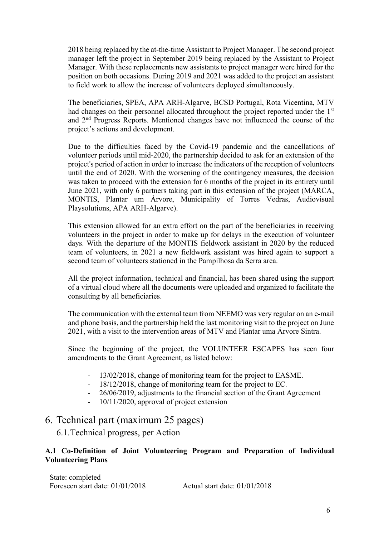2018 being replaced by the at-the-time Assistant to Project Manager. The second project manager left the project in September 2019 being replaced by the Assistant to Project Manager. With these replacements new assistants to project manager were hired for the position on both occasions. During 2019 and 2021 was added to the project an assistant to field work to allow the increase of volunteers deployed simultaneously.

The beneficiaries, SPEA, APA ARH-Algarve, BCSD Portugal, Rota Vicentina, MTV had changes on their personnel allocated throughout the project reported under the 1<sup>st</sup> and 2nd Progress Reports. Mentioned changes have not influenced the course of the project's actions and development.

Due to the difficulties faced by the Covid-19 pandemic and the cancellations of volunteer periods until mid-2020, the partnership decided to ask for an extension of the project's period of action in order to increase the indicators of the reception of volunteers until the end of 2020. With the worsening of the contingency measures, the decision was taken to proceed with the extension for 6 months of the project in its entirety until June 2021, with only 6 partners taking part in this extension of the project (MARCA, MONTIS, Plantar um Árvore, Municipality of Torres Vedras, Audiovisual Playsolutions, APA ARH-Algarve).

This extension allowed for an extra effort on the part of the beneficiaries in receiving volunteers in the project in order to make up for delays in the execution of volunteer days. With the departure of the MONTIS fieldwork assistant in 2020 by the reduced team of volunteers, in 2021 a new fieldwork assistant was hired again to support a second team of volunteers stationed in the Pampilhosa da Serra area.

All the project information, technical and financial, has been shared using the support of a virtual cloud where all the documents were uploaded and organized to facilitate the consulting by all beneficiaries.

The communication with the external team from NEEMO was very regular on an e-mail and phone basis, and the partnership held the last monitoring visit to the project on June 2021, with a visit to the intervention areas of MTV and Plantar uma Árvore Sintra.

Since the beginning of the project, the VOLUNTEER ESCAPES has seen four amendments to the Grant Agreement, as listed below:

- 13/02/2018, change of monitoring team for the project to EASME.
- 18/12/2018, change of monitoring team for the project to EC.
- 26/06/2019, adjustments to the financial section of the Grant Agreement
- 10/11/2020, approval of project extension

# 6. Technical part (maximum 25 pages)

6.1.Technical progress, per Action

## **A.1 Co-Definition of Joint Volunteering Program and Preparation of Individual Volunteering Plans**

State: completed Foreseen start date: 01/01/2018 Actual start date: 01/01/2018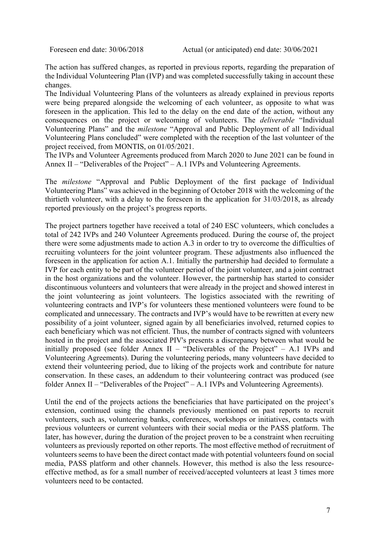The action has suffered changes, as reported in previous reports, regarding the preparation of the Individual Volunteering Plan (IVP) and was completed successfully taking in account these changes.

The Individual Volunteering Plans of the volunteers as already explained in previous reports were being prepared alongside the welcoming of each volunteer, as opposite to what was foreseen in the application. This led to the delay on the end date of the action, without any consequences on the project or welcoming of volunteers. The *deliverable* "Individual Volunteering Plans" and the *milestone* "Approval and Public Deployment of all Individual Volunteering Plans concluded" were completed with the reception of the last volunteer of the project received, from MONTIS, on 01/05/2021.

The IVPs and Volunteer Agreements produced from March 2020 to June 2021 can be found in Annex II – "Deliverables of the Project" – A.1 IVPs and Volunteering Agreements.

The *milestone* "Approval and Public Deployment of the first package of Individual Volunteering Plans" was achieved in the beginning of October 2018 with the welcoming of the thirtieth volunteer, with a delay to the foreseen in the application for 31/03/2018, as already reported previously on the project's progress reports.

The project partners together have received a total of 240 ESC volunteers, which concludes a total of 242 IVPs and 240 Volunteer Agreements produced. During the course of, the project there were some adjustments made to action A.3 in order to try to overcome the difficulties of recruiting volunteers for the joint volunteer program. These adjustments also influenced the foreseen in the application for action A.1. Initially the partnership had decided to formulate a IVP for each entity to be part of the volunteer period of the joint volunteer, and a joint contract in the host organizations and the volunteer. However, the partnership has started to consider discontinuous volunteers and volunteers that were already in the project and showed interest in the joint volunteering as joint volunteers. The logistics associated with the rewriting of volunteering contracts and IVP's for volunteers these mentioned volunteers were found to be complicated and unnecessary. The contracts and IVP's would have to be rewritten at every new possibility of a joint volunteer, signed again by all beneficiaries involved, returned copies to each beneficiary which was not efficient. Thus, the number of contracts signed with volunteers hosted in the project and the associated PIV's presents a discrepancy between what would be initially proposed (see folder Annex II – "Deliverables of the Project" – A.1 IVPs and Volunteering Agreements). During the volunteering periods, many volunteers have decided to extend their volunteering period, due to liking of the projects work and contribute for nature conservation. In these cases, an addendum to their volunteering contract was produced (see folder Annex II – "Deliverables of the Project" – A.1 IVPs and Volunteering Agreements).

Until the end of the projects actions the beneficiaries that have participated on the project's extension, continued using the channels previously mentioned on past reports to recruit volunteers, such as, volunteering banks, conferences, workshops or initiatives, contacts with previous volunteers or current volunteers with their social media or the PASS platform. The later, has however, during the duration of the project proven to be a constraint when recruiting volunteers as previously reported on other reports. The most effective method of recruitment of volunteers seems to have been the direct contact made with potential volunteers found on social media, PASS platform and other channels. However, this method is also the less resourceeffective method, as for a small number of received/accepted volunteers at least 3 times more volunteers need to be contacted.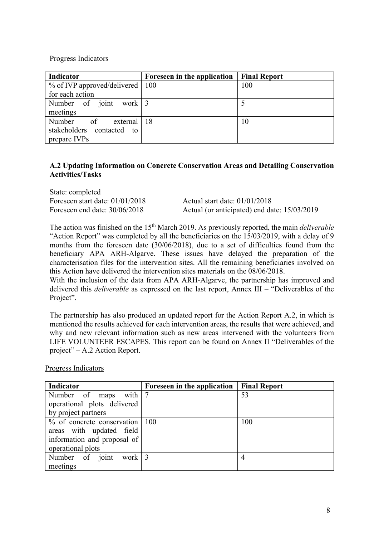## Progress Indicators

| Indicator                           | Foreseen in the application | <b>Final Report</b> |
|-------------------------------------|-----------------------------|---------------------|
| $%$ of IVP approved/delivered   100 |                             | 100                 |
| for each action                     |                             |                     |
| Number of joint work $3$            |                             |                     |
| meetings                            |                             |                     |
| Number of external 18               |                             | 10                  |
| stakeholders contacted to           |                             |                     |
| prepare IVPs                        |                             |                     |

# **A.2 Updating Information on Concrete Conservation Areas and Detailing Conservation Activities/Tasks**

| State: completed                  |                                              |
|-----------------------------------|----------------------------------------------|
| Foreseen start date: $01/01/2018$ | Actual start date: $01/01/2018$              |
| Foreseen end date: $30/06/2018$   | Actual (or anticipated) end date: 15/03/2019 |

The action was finished on the 15th March 2019. As previously reported, the main *deliverable*  "Action Report" was completed by all the beneficiaries on the 15/03/2019, with a delay of 9 months from the foreseen date (30/06/2018), due to a set of difficulties found from the beneficiary APA ARH-Algarve. These issues have delayed the preparation of the characterisation files for the intervention sites. All the remaining beneficiaries involved on this Action have delivered the intervention sites materials on the 08/06/2018.

With the inclusion of the data from APA ARH-Algarve, the partnership has improved and delivered this *deliverable* as expressed on the last report, Annex III – "Deliverables of the Project".

The partnership has also produced an updated report for the Action Report A.2, in which is mentioned the results achieved for each intervention areas, the results that were achieved, and why and new relevant information such as new areas intervened with the volunteers from LIFE VOLUNTEER ESCAPES. This report can be found on Annex II "Deliverables of the project" – A.2 Action Report.

Progress Indicators

| Indicator                          | Foreseen in the application | <b>Final Report</b> |
|------------------------------------|-----------------------------|---------------------|
| Number of maps with 7              |                             | 53                  |
| operational plots delivered        |                             |                     |
| by project partners                |                             |                     |
| $%$ of concrete conservation   100 |                             | 100                 |
| areas with updated field           |                             |                     |
| information and proposal of        |                             |                     |
| operational plots                  |                             |                     |
| Number of joint work $ 3$          |                             | 4                   |
| meetings                           |                             |                     |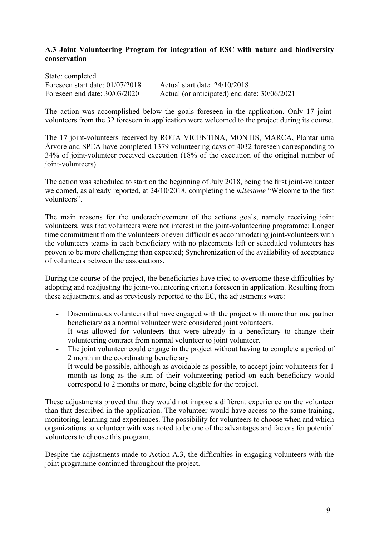## **A.3 Joint Volunteering Program for integration of ESC with nature and biodiversity conservation**

State: completed Foreseen start date: 01/07/2018 Actual start date: 24/10/2018 Foreseen end date: 30/03/2020 Actual (or anticipated) end date: 30/06/2021

The action was accomplished below the goals foreseen in the application. Only 17 jointvolunteers from the 32 foreseen in application were welcomed to the project during its course.

The 17 joint-volunteers received by ROTA VICENTINA, MONTIS, MARCA, Plantar uma Árvore and SPEA have completed 1379 volunteering days of 4032 foreseen corresponding to 34% of joint-volunteer received execution (18% of the execution of the original number of joint-volunteers).

The action was scheduled to start on the beginning of July 2018, being the first joint-volunteer welcomed, as already reported, at 24/10/2018, completing the *milestone* "Welcome to the first volunteers".

The main reasons for the underachievement of the actions goals, namely receiving joint volunteers, was that volunteers were not interest in the joint-volunteering programme; Longer time commitment from the volunteers or even difficulties accommodating joint-volunteers with the volunteers teams in each beneficiary with no placements left or scheduled volunteers has proven to be more challenging than expected; Synchronization of the availability of acceptance of volunteers between the associations.

During the course of the project, the beneficiaries have tried to overcome these difficulties by adopting and readjusting the joint-volunteering criteria foreseen in application. Resulting from these adjustments, and as previously reported to the EC, the adjustments were:

- Discontinuous volunteers that have engaged with the project with more than one partner beneficiary as a normal volunteer were considered joint volunteers.
- It was allowed for volunteers that were already in a beneficiary to change their volunteering contract from normal volunteer to joint volunteer.
- The joint volunteer could engage in the project without having to complete a period of 2 month in the coordinating beneficiary
- It would be possible, although as avoidable as possible, to accept joint volunteers for 1 month as long as the sum of their volunteering period on each beneficiary would correspond to 2 months or more, being eligible for the project.

These adjustments proved that they would not impose a different experience on the volunteer than that described in the application. The volunteer would have access to the same training, monitoring, learning and experiences. The possibility for volunteers to choose when and which organizations to volunteer with was noted to be one of the advantages and factors for potential volunteers to choose this program.

Despite the adjustments made to Action A.3, the difficulties in engaging volunteers with the joint programme continued throughout the project.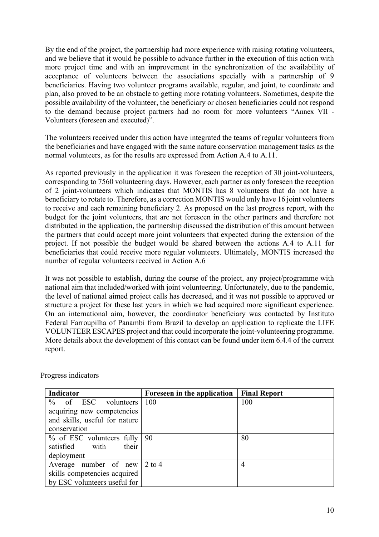By the end of the project, the partnership had more experience with raising rotating volunteers, and we believe that it would be possible to advance further in the execution of this action with more project time and with an improvement in the synchronization of the availability of acceptance of volunteers between the associations specially with a partnership of 9 beneficiaries. Having two volunteer programs available, regular, and joint, to coordinate and plan, also proved to be an obstacle to getting more rotating volunteers. Sometimes, despite the possible availability of the volunteer, the beneficiary or chosen beneficiaries could not respond to the demand because project partners had no room for more volunteers "Annex VII - Volunteers (foreseen and executed)".

The volunteers received under this action have integrated the teams of regular volunteers from the beneficiaries and have engaged with the same nature conservation management tasks as the normal volunteers, as for the results are expressed from Action A.4 to A.11.

As reported previously in the application it was foreseen the reception of 30 joint-volunteers, corresponding to 7560 volunteering days. However, each partner as only foreseen the reception of 2 joint-volunteers which indicates that MONTIS has 8 volunteers that do not have a beneficiary to rotate to. Therefore, as a correction MONTIS would only have 16 joint volunteers to receive and each remaining beneficiary 2. As proposed on the last progress report, with the budget for the joint volunteers, that are not foreseen in the other partners and therefore not distributed in the application, the partnership discussed the distribution of this amount between the partners that could accept more joint volunteers that expected during the extension of the project. If not possible the budget would be shared between the actions A.4 to A.11 for beneficiaries that could receive more regular volunteers. Ultimately, MONTIS increased the number of regular volunteers received in Action A.6

It was not possible to establish, during the course of the project, any project/programme with national aim that included/worked with joint volunteering. Unfortunately, due to the pandemic, the level of national aimed project calls has decreased, and it was not possible to approved or structure a project for these last years in which we had acquired more significant experience. On an international aim, however, the coordinator beneficiary was contacted by Instituto Federal Farroupilha of Panambi from Brazil to develop an application to replicate the LIFE VOLUNTEER ESCAPES project and that could incorporate the joint-volunteering programme. More details about the development of this contact can be found under item 6.4.4 of the current report.

| Indicator                            | Foreseen in the application | <b>Final Report</b> |
|--------------------------------------|-----------------------------|---------------------|
| $%$ of ESC volunteers                | 100                         | 100                 |
| acquiring new competencies           |                             |                     |
| and skills, useful for nature        |                             |                     |
| conservation                         |                             |                     |
| % of ESC volunteers fully   90       |                             | 80                  |
| satisfied with<br>their              |                             |                     |
| deployment                           |                             |                     |
| Average number of new $\vert$ 2 to 4 |                             | 4                   |
| skills competencies acquired         |                             |                     |
| by ESC volunteers useful for         |                             |                     |

#### Progress indicators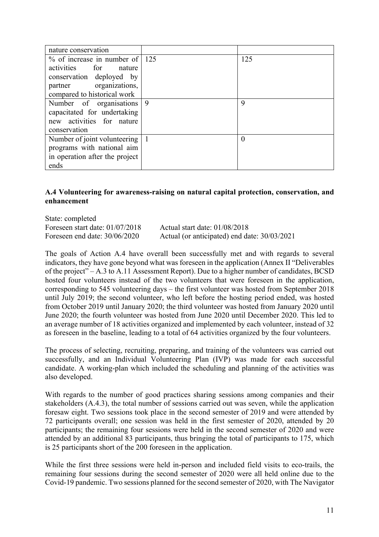| nature conservation               |   |     |
|-----------------------------------|---|-----|
| $\%$ of increase in number of 125 |   | 125 |
| activities for nature             |   |     |
| conservation deployed by          |   |     |
| partner organizations,            |   |     |
| compared to historical work       |   |     |
| Number of organisations 9         |   | 9   |
| capacitated for undertaking       |   |     |
| new activities for nature         |   |     |
| conservation                      |   |     |
| Number of joint volunteering      | 1 | 0   |
| programs with national aim        |   |     |
| in operation after the project    |   |     |
| ends                              |   |     |

### **A.4 Volunteering for awareness-raising on natural capital protection, conservation, and enhancement**

State: completed Foreseen start date: 01/07/2018 Actual start date: 01/08/2018 Foreseen end date: 30/06/2020 Actual (or anticipated) end date: 30/03/2021

The goals of Action A.4 have overall been successfully met and with regards to several indicators, they have gone beyond what was foreseen in the application (Annex II "Deliverables of the project" – A.3 to A.11 Assessment Report). Due to a higher number of candidates, BCSD hosted four volunteers instead of the two volunteers that were foreseen in the application, corresponding to 545 volunteering days – the first volunteer was hosted from September 2018 until July 2019; the second volunteer, who left before the hosting period ended, was hosted from October 2019 until January 2020; the third volunteer was hosted from January 2020 until June 2020; the fourth volunteer was hosted from June 2020 until December 2020. This led to an average number of 18 activities organized and implemented by each volunteer, instead of 32 as foreseen in the baseline, leading to a total of 64 activities organized by the four volunteers.

The process of selecting, recruiting, preparing, and training of the volunteers was carried out successfully, and an Individual Volunteering Plan (IVP) was made for each successful candidate. A working-plan which included the scheduling and planning of the activities was also developed.

With regards to the number of good practices sharing sessions among companies and their stakeholders (A.4.3), the total number of sessions carried out was seven, while the application foresaw eight. Two sessions took place in the second semester of 2019 and were attended by 72 participants overall; one session was held in the first semester of 2020, attended by 20 participants; the remaining four sessions were held in the second semester of 2020 and were attended by an additional 83 participants, thus bringing the total of participants to 175, which is 25 participants short of the 200 foreseen in the application.

While the first three sessions were held in-person and included field visits to eco-trails, the remaining four sessions during the second semester of 2020 were all held online due to the Covid-19 pandemic. Two sessions planned for the second semester of 2020, with The Navigator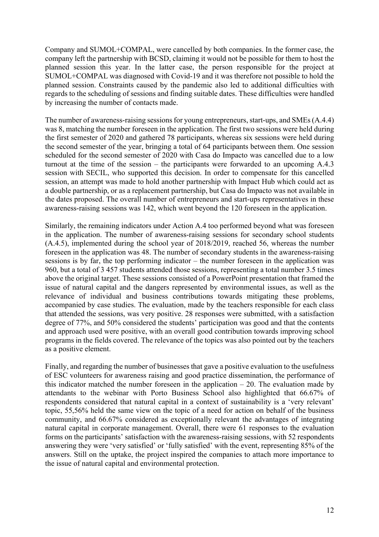Company and SUMOL+COMPAL, were cancelled by both companies. In the former case, the company left the partnership with BCSD, claiming it would not be possible for them to host the planned session this year. In the latter case, the person responsible for the project at SUMOL+COMPAL was diagnosed with Covid-19 and it was therefore not possible to hold the planned session. Constraints caused by the pandemic also led to additional difficulties with regards to the scheduling of sessions and finding suitable dates. These difficulties were handled by increasing the number of contacts made.

The number of awareness-raising sessions for young entrepreneurs, start-ups, and SMEs (A.4.4) was 8, matching the number foreseen in the application. The first two sessions were held during the first semester of 2020 and gathered 78 participants, whereas six sessions were held during the second semester of the year, bringing a total of 64 participants between them. One session scheduled for the second semester of 2020 with Casa do Impacto was cancelled due to a low turnout at the time of the session – the participants were forwarded to an upcoming A.4.3 session with SECIL, who supported this decision. In order to compensate for this cancelled session, an attempt was made to hold another partnership with Impact Hub which could act as a double partnership, or as a replacement partnership, but Casa do Impacto was not available in the dates proposed. The overall number of entrepreneurs and start-ups representatives in these awareness-raising sessions was 142, which went beyond the 120 foreseen in the application.

Similarly, the remaining indicators under Action A.4 too performed beyond what was foreseen in the application. The number of awareness-raising sessions for secondary school students (A.4.5), implemented during the school year of 2018/2019, reached 56, whereas the number foreseen in the application was 48. The number of secondary students in the awareness-raising sessions is by far, the top performing indicator – the number foreseen in the application was 960, but a total of 3 457 students attended those sessions, representing a total number 3.5 times above the original target. These sessions consisted of a PowerPoint presentation that framed the issue of natural capital and the dangers represented by environmental issues, as well as the relevance of individual and business contributions towards mitigating these problems, accompanied by case studies. The evaluation, made by the teachers responsible for each class that attended the sessions, was very positive. 28 responses were submitted, with a satisfaction degree of 77%, and 50% considered the students' participation was good and that the contents and approach used were positive, with an overall good contribution towards improving school programs in the fields covered. The relevance of the topics was also pointed out by the teachers as a positive element.

Finally, and regarding the number of businesses that gave a positive evaluation to the usefulness of ESC volunteers for awareness raising and good practice dissemination, the performance of this indicator matched the number foreseen in the application  $-20$ . The evaluation made by attendants to the webinar with Porto Business School also highlighted that 66.67% of respondents considered that natural capital in a context of sustainability is a 'very relevant' topic, 55,56% held the same view on the topic of a need for action on behalf of the business community, and 66.67% considered as exceptionally relevant the advantages of integrating natural capital in corporate management. Overall, there were 61 responses to the evaluation forms on the participants' satisfaction with the awareness-raising sessions, with 52 respondents answering they were 'very satisfied' or 'fully satisfied' with the event, representing 85% of the answers. Still on the uptake, the project inspired the companies to attach more importance to the issue of natural capital and environmental protection.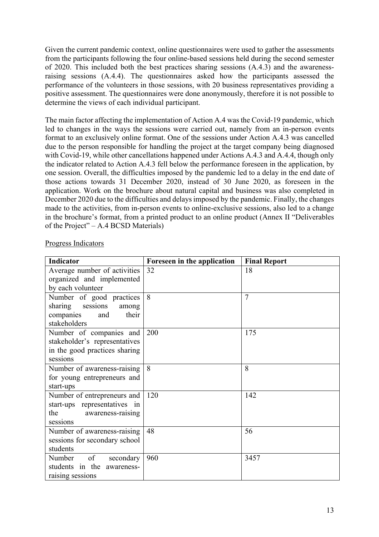Given the current pandemic context, online questionnaires were used to gather the assessments from the participants following the four online-based sessions held during the second semester of 2020. This included both the best practices sharing sessions (A.4.3) and the awarenessraising sessions (A.4.4). The questionnaires asked how the participants assessed the performance of the volunteers in those sessions, with 20 business representatives providing a positive assessment. The questionnaires were done anonymously, therefore it is not possible to determine the views of each individual participant.

The main factor affecting the implementation of Action A.4 was the Covid-19 pandemic, which led to changes in the ways the sessions were carried out, namely from an in-person events format to an exclusively online format. One of the sessions under Action A.4.3 was cancelled due to the person responsible for handling the project at the target company being diagnosed with Covid-19, while other cancellations happened under Actions A.4.3 and A.4.4, though only the indicator related to Action A.4.3 fell below the performance foreseen in the application, by one session. Overall, the difficulties imposed by the pandemic led to a delay in the end date of those actions towards 31 December 2020, instead of 30 June 2020, as foreseen in the application. Work on the brochure about natural capital and business was also completed in December 2020 due to the difficulties and delays imposed by the pandemic. Finally, the changes made to the activities, from in-person events to online-exclusive sessions, also led to a change in the brochure's format, from a printed product to an online product (Annex II "Deliverables of the Project" – A.4 BCSD Materials)

| Indicator                     | Foreseen in the application | <b>Final Report</b> |
|-------------------------------|-----------------------------|---------------------|
| Average number of activities  | 32                          | 18                  |
| organized and implemented     |                             |                     |
| by each volunteer             |                             |                     |
| Number of good practices      | 8                           | 7                   |
| sharing sessions<br>among     |                             |                     |
| companies<br>their<br>and     |                             |                     |
| stakeholders                  |                             |                     |
| Number of companies and       | 200                         | 175                 |
| stakeholder's representatives |                             |                     |
| in the good practices sharing |                             |                     |
| sessions                      |                             |                     |
| Number of awareness-raising   | 8                           | 8                   |
| for young entrepreneurs and   |                             |                     |
| start-ups                     |                             |                     |
| Number of entrepreneurs and   | 120                         | 142                 |
| start-ups representatives in  |                             |                     |
| the<br>awareness-raising      |                             |                     |
| sessions                      |                             |                     |
| Number of awareness-raising   | 48                          | 56                  |
| sessions for secondary school |                             |                     |
| students                      |                             |                     |
| of<br>Number<br>secondary     | 960                         | 3457                |
| students in the awareness-    |                             |                     |
| raising sessions              |                             |                     |

### Progress Indicators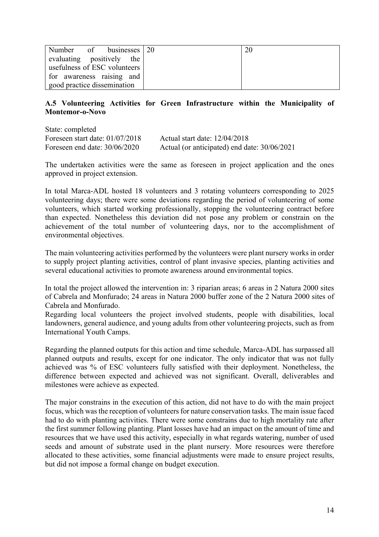| Number of businesses 20      |  |
|------------------------------|--|
| evaluating positively the    |  |
| usefulness of ESC volunteers |  |
| for awareness raising and    |  |
| good practice dissemination  |  |

### **A.5 Volunteering Activities for Green Infrastructure within the Municipality of Montemor-o-Novo**

State: completed Foreseen start date: 01/07/2018 Actual start date: 12/04/2018 Foreseen end date: 30/06/2020 Actual (or anticipated) end date: 30/06/2021

The undertaken activities were the same as foreseen in project application and the ones approved in project extension.

In total Marca-ADL hosted 18 volunteers and 3 rotating volunteers corresponding to 2025 volunteering days; there were some deviations regarding the period of volunteering of some volunteers, which started working professionally, stopping the volunteering contract before than expected. Nonetheless this deviation did not pose any problem or constrain on the achievement of the total number of volunteering days, nor to the accomplishment of environmental objectives.

The main volunteering activities performed by the volunteers were plant nursery works in order to supply project planting activities, control of plant invasive species, planting activities and several educational activities to promote awareness around environmental topics.

In total the project allowed the intervention in: 3 riparian areas; 6 areas in 2 Natura 2000 sites of Cabrela and Monfurado; 24 areas in Natura 2000 buffer zone of the 2 Natura 2000 sites of Cabrela and Monfurado.

Regarding local volunteers the project involved students, people with disabilities, local landowners, general audience, and young adults from other volunteering projects, such as from International Youth Camps.

Regarding the planned outputs for this action and time schedule, Marca-ADL has surpassed all planned outputs and results, except for one indicator. The only indicator that was not fully achieved was % of ESC volunteers fully satisfied with their deployment. Nonetheless, the difference between expected and achieved was not significant. Overall, deliverables and milestones were achieve as expected.

The major constrains in the execution of this action, did not have to do with the main project focus, which was the reception of volunteers for nature conservation tasks. The main issue faced had to do with planting activities. There were some constrains due to high mortality rate after the first summer following planting. Plant losses have had an impact on the amount of time and resources that we have used this activity, especially in what regards watering, number of used seeds and amount of substrate used in the plant nursery. More resources were therefore allocated to these activities, some financial adjustments were made to ensure project results, but did not impose a formal change on budget execution.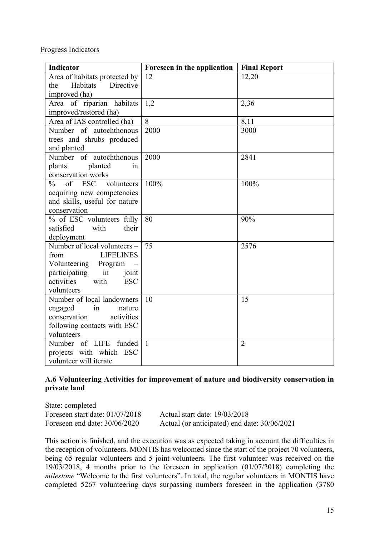Progress Indicators

| <b>Indicator</b>                                | Foreseen in the application | <b>Final Report</b> |
|-------------------------------------------------|-----------------------------|---------------------|
| Area of habitats protected by                   | 12                          | 12,20               |
| <b>Habitats</b><br>Directive<br>the             |                             |                     |
| improved (ha)                                   |                             |                     |
| Area of riparian habitats                       | 1,2                         | 2,36                |
| improved/restored (ha)                          |                             |                     |
| Area of IAS controlled (ha)                     | 8                           | 8,11                |
| Number of autochthonous                         | 2000                        | 3000                |
| trees and shrubs produced                       |                             |                     |
| and planted                                     |                             |                     |
| Number of autochthonous                         | 2000                        | 2841                |
| plants<br>planted<br>in                         |                             |                     |
| conservation works                              |                             |                     |
| of<br>$\frac{0}{0}$<br><b>ESC</b><br>volunteers | 100%                        | 100%                |
| acquiring new competencies                      |                             |                     |
| and skills, useful for nature                   |                             |                     |
| conservation                                    |                             |                     |
| % of ESC volunteers fully                       | 80                          | 90%                 |
| satisfied<br>their<br>with                      |                             |                     |
| deployment                                      |                             |                     |
| Number of local volunteers -                    | 75                          | 2576                |
| <b>LIFELINES</b><br>from                        |                             |                     |
| Volunteering<br>Program                         |                             |                     |
| participating<br>in<br>joint                    |                             |                     |
| activities<br>with<br><b>ESC</b>                |                             |                     |
| volunteers                                      |                             |                     |
| Number of local landowners                      | 10                          | 15                  |
| engaged<br>$\sin$<br>nature                     |                             |                     |
| conservation<br>activities                      |                             |                     |
| following contacts with ESC                     |                             |                     |
| volunteers                                      |                             |                     |
| Number of LIFE<br>funded                        | $\mathbf{1}$                | $\overline{2}$      |
| projects with which ESC                         |                             |                     |
| volunteer will iterate                          |                             |                     |

# **A.6 Volunteering Activities for improvement of nature and biodiversity conservation in private land**

State: completed Foreseen start date: 01/07/2018 Actual start date: 19/03/2018

Foreseen end date: 30/06/2020 Actual (or anticipated) end date: 30/06/2021

This action is finished, and the execution was as expected taking in account the difficulties in the reception of volunteers. MONTIS has welcomed since the start of the project 70 volunteers, being 65 regular volunteers and 5 joint-volunteers. The first volunteer was received on the 19/03/2018, 4 months prior to the foreseen in application (01/07/2018) completing the *milestone* "Welcome to the first volunteers". In total, the regular volunteers in MONTIS have completed 5267 volunteering days surpassing numbers foreseen in the application (3780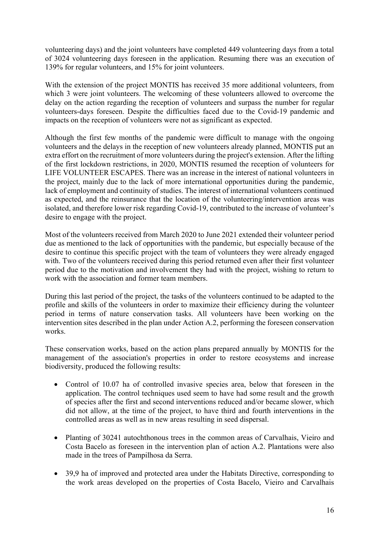volunteering days) and the joint volunteers have completed 449 volunteering days from a total of 3024 volunteering days foreseen in the application. Resuming there was an execution of 139% for regular volunteers, and 15% for joint volunteers.

With the extension of the project MONTIS has received 35 more additional volunteers, from which 3 were joint volunteers. The welcoming of these volunteers allowed to overcome the delay on the action regarding the reception of volunteers and surpass the number for regular volunteers-days foreseen. Despite the difficulties faced due to the Covid-19 pandemic and impacts on the reception of volunteers were not as significant as expected.

Although the first few months of the pandemic were difficult to manage with the ongoing volunteers and the delays in the reception of new volunteers already planned, MONTIS put an extra effort on the recruitment of more volunteers during the project's extension. After the lifting of the first lockdown restrictions, in 2020, MONTIS resumed the reception of volunteers for LIFE VOLUNTEER ESCAPES. There was an increase in the interest of national volunteers in the project, mainly due to the lack of more international opportunities during the pandemic, lack of employment and continuity of studies. The interest of international volunteers continued as expected, and the reinsurance that the location of the volunteering/intervention areas was isolated, and therefore lower risk regarding Covid-19, contributed to the increase of volunteer's desire to engage with the project.

Most of the volunteers received from March 2020 to June 2021 extended their volunteer period due as mentioned to the lack of opportunities with the pandemic, but especially because of the desire to continue this specific project with the team of volunteers they were already engaged with. Two of the volunteers received during this period returned even after their first volunteer period due to the motivation and involvement they had with the project, wishing to return to work with the association and former team members.

During this last period of the project, the tasks of the volunteers continued to be adapted to the profile and skills of the volunteers in order to maximize their efficiency during the volunteer period in terms of nature conservation tasks. All volunteers have been working on the intervention sites described in the plan under Action A.2, performing the foreseen conservation works.

These conservation works, based on the action plans prepared annually by MONTIS for the management of the association's properties in order to restore ecosystems and increase biodiversity, produced the following results:

- Control of 10.07 ha of controlled invasive species area, below that foreseen in the application. The control techniques used seem to have had some result and the growth of species after the first and second interventions reduced and/or became slower, which did not allow, at the time of the project, to have third and fourth interventions in the controlled areas as well as in new areas resulting in seed dispersal.
- Planting of 30241 autochthonous trees in the common areas of Carvalhais, Vieiro and Costa Bacelo as foreseen in the intervention plan of action A.2. Plantations were also made in the trees of Pampilhosa da Serra.
- 39,9 ha of improved and protected area under the Habitats Directive, corresponding to the work areas developed on the properties of Costa Bacelo, Vieiro and Carvalhais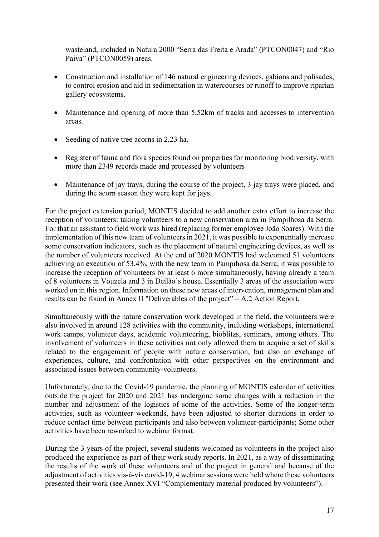wasteland, included in Natura 2000 "Serra das Freita e Arada" (PTCON0047) and "Rio Paiva" (PTCON0059) areas.

- Construction and installation of 146 natural engineering devices, gabions and palisades, to control erosion and aid in sedimentation in watercourses or runoff to improve riparian gallery ecosystems.
- Maintenance and opening of more than 5,52km of tracks and accesses to intervention areas.
- Seeding of native tree acorns in 2,23 ha.
- Register of fauna and flora species found on properties for monitoring biodiversity, with more than 2349 records made and processed by volunteers
- Maintenance of jay trays, during the course of the project, 3 jay trays were placed, and during the acorn season they were kept for jays.

For the project extension period, MONTIS decided to add another extra effort to increase the reception of volunteers: taking volunteers to a new conservation area in Pampilhosa da Serra. For that an assistant to field work was hired (replacing former employee João Soares). With the implementation of this new team of volunteers in 2021, it was possible to exponentially increase some conservation indicators, such as the placement of natural engineering devices, as well as the number of volunteers received. At the end of 2020 MONTIS had welcomed 51 volunteers achieving an execution of 53,4%, with the new team in Pampihosa da Serra, it was possible to increase the reception of volunteers by at least 6 more simultaneously, having already a team of 8 volunteers in Vouzela and 3 in Deilão's house. Essentially 3 areas of the association were worked on in this region. Information on these new areas of intervention, management plan and results can be found in Annex II "Deliverables of the project" – A.2 Action Report.

Simultaneously with the nature conservation work developed in the field, the volunteers were also involved in around 128 activities with the community, including workshops, international work camps, volunteer days, academic volunteering, bioblitzs, seminars, among others. The involvement of volunteers in these activities not only allowed them to acquire a set of skills related to the engagement of people with nature conservation, but also an exchange of experiences, culture, and confrontation with other perspectives on the environment and associated issues between community-volunteers.

Unfortunately, due to the Covid-19 pandemic, the planning of MONTIS calendar of activities outside the project for 2020 and 2021 has undergone some changes with a reduction in the number and adjustment of the logistics of some of the activities. Some of the longer-term activities, such as volunteer weekends, have been adjusted to shorter durations in order to reduce contact time between participants and also between volunteer-participants; Some other activities have been reworked to webinar format.

During the 3 years of the project, several students welcomed as volunteers in the project also produced the experience as part of their work study reports. In 2021, as a way of disseminating the results of the work of these volunteers and of the project in general and because of the adjustment of activities vis-à-vis covid-19, 4 webinar sessions were held where these volunteers presented their work (see Annex XVI "Complementary material produced by volunteers").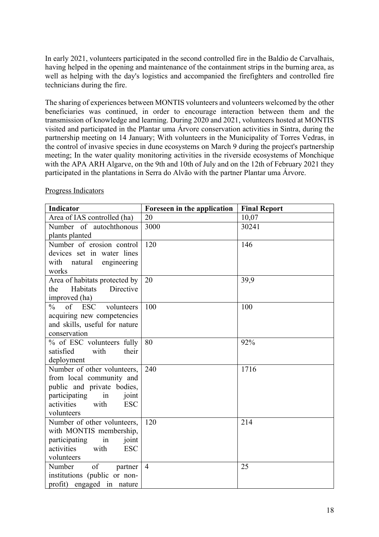In early 2021, volunteers participated in the second controlled fire in the Baldio de Carvalhais, having helped in the opening and maintenance of the containment strips in the burning area, as well as helping with the day's logistics and accompanied the firefighters and controlled fire technicians during the fire.

The sharing of experiences between MONTIS volunteers and volunteers welcomed by the other beneficiaries was continued, in order to encourage interaction between them and the transmission of knowledge and learning. During 2020 and 2021, volunteers hosted at MONTIS visited and participated in the Plantar uma Árvore conservation activities in Sintra, during the partnership meeting on 14 January; With volunteers in the Municipality of Torres Vedras, in the control of invasive species in dune ecosystems on March 9 during the project's partnership meeting; In the water quality monitoring activities in the riverside ecosystems of Monchique with the APA ARH Algarve, on the 9th and 10th of July and on the 12th of February 2021 they participated in the plantations in Serra do Alvão with the partner Plantar uma Árvore.

| <b>Indicator</b>                                            | Foreseen in the application | <b>Final Report</b> |
|-------------------------------------------------------------|-----------------------------|---------------------|
| Area of IAS controlled (ha)                                 | 20                          | 10,07               |
| Number of autochthonous                                     | 3000                        | 30241               |
| plants planted                                              |                             |                     |
| Number of erosion control                                   | 120                         | 146                 |
| devices set in water lines                                  |                             |                     |
| with natural<br>engineering                                 |                             |                     |
| works                                                       |                             |                     |
| Area of habitats protected by                               | 20                          | 39,9                |
| Habitats<br>Directive<br>the                                |                             |                     |
| improved (ha)                                               |                             |                     |
| $\sigma$ f<br><b>ESC</b><br>$\frac{0}{0}$<br>volunteers     | 100                         | 100                 |
| acquiring new competencies<br>and skills, useful for nature |                             |                     |
| conservation                                                |                             |                     |
| % of ESC volunteers fully                                   | 80                          | 92%                 |
| satisfied<br>with<br>their                                  |                             |                     |
| deployment                                                  |                             |                     |
| Number of other volunteers,                                 | 240                         | 1716                |
| from local community and                                    |                             |                     |
| public and private bodies,                                  |                             |                     |
| participating<br>in<br>joint                                |                             |                     |
| activities<br><b>ESC</b><br>with                            |                             |                     |
| volunteers                                                  |                             |                     |
| Number of other volunteers,                                 | 120                         | 214                 |
| with MONTIS membership,                                     |                             |                     |
| participating<br>in<br>joint                                |                             |                     |
| activities<br><b>ESC</b><br>with                            |                             |                     |
| volunteers                                                  |                             |                     |
| of<br>Number<br>partner                                     | $\overline{4}$              | 25                  |
| institutions (public or non-                                |                             |                     |
| profit) engaged in nature                                   |                             |                     |

#### Progress Indicators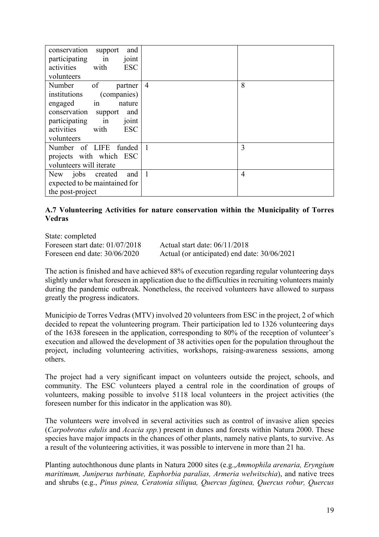| and<br>conservation<br>support<br>participating<br>joint<br>in<br>with<br><b>ESC</b><br>activities<br>volunteers                                                                                         |                |   |
|----------------------------------------------------------------------------------------------------------------------------------------------------------------------------------------------------------|----------------|---|
| Number<br>of<br>partner<br>institutions<br>(companies)<br>in<br>engaged<br>nature<br>conservation<br>and<br>support<br>participating<br>joint<br>$\ln$<br><b>ESC</b><br>activities<br>with<br>volunteers | $\overline{4}$ | 8 |
| Number of LIFE funded<br>projects with which ESC<br>volunteers will iterate                                                                                                                              | $\mathbf{1}$   | 3 |
| jobs<br>and  <br>New<br>created<br>expected to be maintained for<br>the post-project                                                                                                                     | $\mathbf{1}$   | 4 |

# **A.7 Volunteering Activities for nature conservation within the Municipality of Torres Vedras**

State: completed Foreseen start date: 01/07/2018 Actual start date: 06/11/2018

Foreseen end date: 30/06/2020 Actual (or anticipated) end date: 30/06/2021

The action is finished and have achieved 88% of execution regarding regular volunteering days slightly under what foreseen in application due to the difficulties in recruiting volunteers mainly during the pandemic outbreak. Nonetheless, the received volunteers have allowed to surpass greatly the progress indicators.

Município de Torres Vedras (MTV) involved 20 volunteers from ESC in the project, 2 of which decided to repeat the volunteering program. Their participation led to 1326 volunteering days of the 1638 foreseen in the application, corresponding to 80% of the reception of volunteer's execution and allowed the development of 38 activities open for the population throughout the project, including volunteering activities, workshops, raising-awareness sessions, among others.

The project had a very significant impact on volunteers outside the project, schools, and community. The ESC volunteers played a central role in the coordination of groups of volunteers, making possible to involve 5118 local volunteers in the project activities (the foreseen number for this indicator in the application was 80).

The volunteers were involved in several activities such as control of invasive alien species (*Carpobrotus edulis* and *Acacia spp.*) present in dunes and forests within Natura 2000. These species have major impacts in the chances of other plants, namely native plants, to survive. As a result of the volunteering activities, it was possible to intervene in more than 21 ha.

Planting autochthonous dune plants in Natura 2000 sites (e.g.,*Ammophila arenaria, Eryngium maritimum, Juniperus turbinate, Euphorbia paralias, Armeria welwitschia*), and native trees and shrubs (e.g., *Pinus pinea, Ceratonia siliqua, Quercus faginea, Quercus robur, Quercus*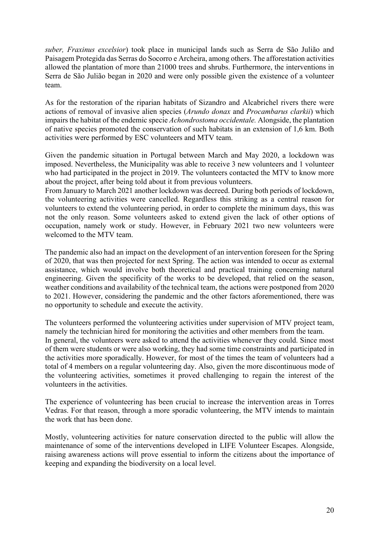*suber, Fraxinus excelsior*) took place in municipal lands such as Serra de São Julião and Paisagem Protegida das Serras do Socorro e Archeira, among others. The afforestation activities allowed the plantation of more than 21000 trees and shrubs. Furthermore, the interventions in Serra de São Julião began in 2020 and were only possible given the existence of a volunteer team.

As for the restoration of the riparian habitats of Sizandro and Alcabrichel rivers there were actions of removal of invasive alien species (*Arundo donax* and *Procambarus clarkii*) which impairs the habitat of the endemic specie *Achondrostoma occidentale.* Alongside, the plantation of native species promoted the conservation of such habitats in an extension of 1,6 km. Both activities were performed by ESC volunteers and MTV team.

Given the pandemic situation in Portugal between March and May 2020, a lockdown was imposed. Nevertheless, the Municipality was able to receive 3 new volunteers and 1 volunteer who had participated in the project in 2019. The volunteers contacted the MTV to know more about the project, after being told about it from previous volunteers.

From January to March 2021 another lockdown was decreed. During both periods of lockdown, the volunteering activities were cancelled. Regardless this striking as a central reason for volunteers to extend the volunteering period, in order to complete the minimum days, this was not the only reason. Some volunteers asked to extend given the lack of other options of occupation, namely work or study. However, in February 2021 two new volunteers were welcomed to the MTV team.

The pandemic also had an impact on the development of an intervention foreseen for the Spring of 2020, that was then projected for next Spring. The action was intended to occur as external assistance, which would involve both theoretical and practical training concerning natural engineering. Given the specificity of the works to be developed, that relied on the season, weather conditions and availability of the technical team, the actions were postponed from 2020 to 2021. However, considering the pandemic and the other factors aforementioned, there was no opportunity to schedule and execute the activity.

The volunteers performed the volunteering activities under supervision of MTV project team, namely the technician hired for monitoring the activities and other members from the team. In general, the volunteers were asked to attend the activities whenever they could. Since most of them were students or were also working, they had some time constraints and participated in the activities more sporadically. However, for most of the times the team of volunteers had a total of 4 members on a regular volunteering day. Also, given the more discontinuous mode of the volunteering activities, sometimes it proved challenging to regain the interest of the volunteers in the activities.

The experience of volunteering has been crucial to increase the intervention areas in Torres Vedras. For that reason, through a more sporadic volunteering, the MTV intends to maintain the work that has been done.

Mostly, volunteering activities for nature conservation directed to the public will allow the maintenance of some of the interventions developed in LIFE Volunteer Escapes. Alongside, raising awareness actions will prove essential to inform the citizens about the importance of keeping and expanding the biodiversity on a local level.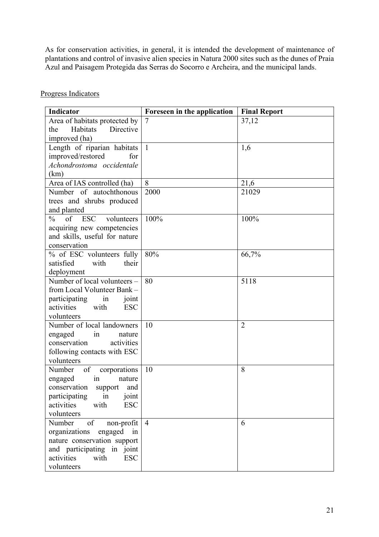As for conservation activities, in general, it is intended the development of maintenance of plantations and control of invasive alien species in Natura 2000 sites such as the dunes of Praia Azul and Paisagem Protegida das Serras do Socorro e Archeira, and the municipal lands.

| Indicator                                | Foreseen in the application | <b>Final Report</b> |
|------------------------------------------|-----------------------------|---------------------|
| Area of habitats protected by            |                             | 37,12               |
| Habitats<br>Directive<br>the             |                             |                     |
| improved (ha)                            |                             |                     |
| Length of riparian habitats              | $\mathbf{1}$                | 1,6                 |
| improved/restored<br>for                 |                             |                     |
| Achondrostoma occidentale                |                             |                     |
| (km)                                     |                             |                     |
| Area of IAS controlled (ha)              | 8                           | 21,6                |
| Number of autochthonous                  | 2000                        | 21029               |
| trees and shrubs produced                |                             |                     |
| and planted                              |                             |                     |
| of ESC<br>$\%$<br>volunteers             | 100%                        | 100%                |
| acquiring new competencies               |                             |                     |
| and skills, useful for nature            |                             |                     |
| conservation                             |                             |                     |
| % of ESC volunteers fully                | 80%                         | 66,7%               |
| their<br>satisfied<br>with               |                             |                     |
| deployment                               |                             |                     |
| Number of local volunteers -             | 80                          | 5118                |
| from Local Volunteer Bank -              |                             |                     |
| participating<br>in<br>joint             |                             |                     |
| activities<br>with<br><b>ESC</b>         |                             |                     |
| volunteers                               |                             |                     |
| Number of local landowners               | 10                          | $\overline{2}$      |
| in<br>engaged<br>nature                  |                             |                     |
| conservation<br>activities               |                             |                     |
| following contacts with ESC              |                             |                     |
| volunteers                               |                             |                     |
| of<br>Number<br>corporations             | 10                          | 8                   |
| engaged<br>$\operatorname{in}$<br>nature |                             |                     |
| conservation<br>support<br>and           |                             |                     |
| participating<br>in<br>joint             |                             |                     |
| activities<br><b>ESC</b><br>with         |                             |                     |
| volunteers                               |                             |                     |
| of<br>Number<br>non-profit               | $\overline{4}$              | 6                   |
| organizations<br>in<br>engaged           |                             |                     |
| nature conservation support              |                             |                     |
| and participating in joint               |                             |                     |
| activities<br><b>ESC</b><br>with         |                             |                     |
| volunteers                               |                             |                     |

Progress Indicators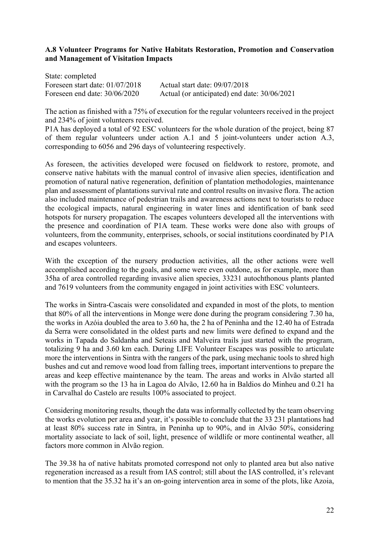## **A.8 Volunteer Programs for Native Habitats Restoration, Promotion and Conservation and Management of Visitation Impacts**

State: completed Foreseen start date: 01/07/2018 Actual start date: 09/07/2018 Foreseen end date: 30/06/2020 Actual (or anticipated) end date: 30/06/2021

The action as finished with a 75% of execution for the regular volunteers received in the project and 234% of joint volunteers received.

P1A has deployed a total of 92 ESC volunteers for the whole duration of the project, being 87 of them regular volunteers under action A.1 and 5 joint-volunteers under action A.3, corresponding to 6056 and 296 days of volunteering respectively.

As foreseen, the activities developed were focused on fieldwork to restore, promote, and conserve native habitats with the manual control of invasive alien species, identification and promotion of natural native regeneration, definition of plantation methodologies, maintenance plan and assessment of plantations survival rate and control results on invasive flora. The action also included maintenance of pedestrian trails and awareness actions next to tourists to reduce the ecological impacts, natural engineering in water lines and identification of bank seed hotspots for nursery propagation. The escapes volunteers developed all the interventions with the presence and coordination of P1A team. These works were done also with groups of volunteers, from the community, enterprises, schools, or social institutions coordinated by P1A and escapes volunteers.

With the exception of the nursery production activities, all the other actions were well accomplished according to the goals, and some were even outdone, as for example, more than 35ha of area controlled regarding invasive alien species, 33231 autochthonous plants planted and 7619 volunteers from the community engaged in joint activities with ESC volunteers.

The works in Sintra-Cascais were consolidated and expanded in most of the plots, to mention that 80% of all the interventions in Monge were done during the program considering 7.30 ha, the works in Azóia doubled the area to 3.60 ha, the 2 ha of Peninha and the 12.40 ha of Estrada da Serra were consolidated in the oldest parts and new limits were defined to expand and the works in Tapada do Saldanha and Seteais and Malveira trails just started with the program, totalizing 9 ha and 3.60 km each. During LIFE Volunteer Escapes was possible to articulate more the interventions in Sintra with the rangers of the park, using mechanic tools to shred high bushes and cut and remove wood load from falling trees, important interventions to prepare the areas and keep effective maintenance by the team. The areas and works in Alvão started all with the program so the 13 ha in Lagoa do Alvão, 12.60 ha in Baldios do Minheu and 0.21 ha in Carvalhal do Castelo are results 100% associated to project.

Considering monitoring results, though the data was informally collected by the team observing the works evolution per area and year, it's possible to conclude that the 33 231 plantations had at least 80% success rate in Sintra, in Peninha up to 90%, and in Alvão 50%, considering mortality associate to lack of soil, light, presence of wildlife or more continental weather, all factors more common in Alvão region.

The 39.38 ha of native habitats promoted correspond not only to planted area but also native regeneration increased as a result from IAS control; still about the IAS controlled, it's relevant to mention that the 35.32 ha it's an on-going intervention area in some of the plots, like Azoia,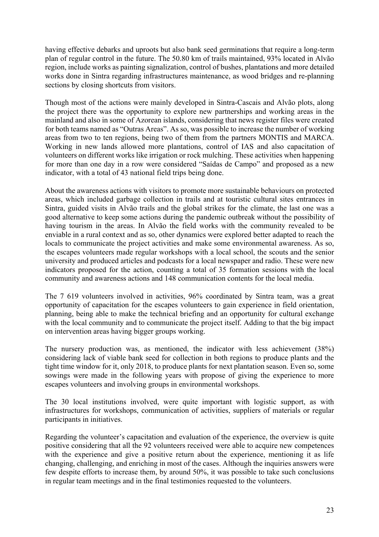having effective debarks and uproots but also bank seed germinations that require a long-term plan of regular control in the future. The 50.80 km of trails maintained, 93% located in Alvão region, include works as painting signalization, control of bushes, plantations and more detailed works done in Sintra regarding infrastructures maintenance, as wood bridges and re-planning sections by closing shortcuts from visitors.

Though most of the actions were mainly developed in Sintra-Cascais and Alvão plots, along the project there was the opportunity to explore new partnerships and working areas in the mainland and also in some of Azorean islands, considering that news register files were created for both teams named as "Outras Areas". As so, was possible to increase the number of working areas from two to ten regions, being two of them from the partners MONTIS and MARCA. Working in new lands allowed more plantations, control of IAS and also capacitation of volunteers on different works like irrigation or rock mulching. These activities when happening for more than one day in a row were considered "Saídas de Campo" and proposed as a new indicator, with a total of 43 national field trips being done.

About the awareness actions with visitors to promote more sustainable behaviours on protected areas, which included garbage collection in trails and at touristic cultural sites entrances in Sintra, guided visits in Alvão trails and the global strikes for the climate, the last one was a good alternative to keep some actions during the pandemic outbreak without the possibility of having tourism in the areas. In Alvão the field works with the community revealed to be enviable in a rural context and as so, other dynamics were explored better adapted to reach the locals to communicate the project activities and make some environmental awareness. As so, the escapes volunteers made regular workshops with a local school, the scouts and the senior university and produced articles and podcasts for a local newspaper and radio. These were new indicators proposed for the action, counting a total of 35 formation sessions with the local community and awareness actions and 148 communication contents for the local media.

The 7 619 volunteers involved in activities, 96% coordinated by Sintra team, was a great opportunity of capacitation for the escapes volunteers to gain experience in field orientation, planning, being able to make the technical briefing and an opportunity for cultural exchange with the local community and to communicate the project itself. Adding to that the big impact on intervention areas having bigger groups working.

The nursery production was, as mentioned, the indicator with less achievement (38%) considering lack of viable bank seed for collection in both regions to produce plants and the tight time window for it, only 2018, to produce plants for next plantation season. Even so, some sowings were made in the following years with propose of giving the experience to more escapes volunteers and involving groups in environmental workshops.

The 30 local institutions involved, were quite important with logistic support, as with infrastructures for workshops, communication of activities, suppliers of materials or regular participants in initiatives.

Regarding the volunteer's capacitation and evaluation of the experience, the overview is quite positive considering that all the 92 volunteers received were able to acquire new competences with the experience and give a positive return about the experience, mentioning it as life changing, challenging, and enriching in most of the cases. Although the inquiries answers were few despite efforts to increase them, by around 50%, it was possible to take such conclusions in regular team meetings and in the final testimonies requested to the volunteers.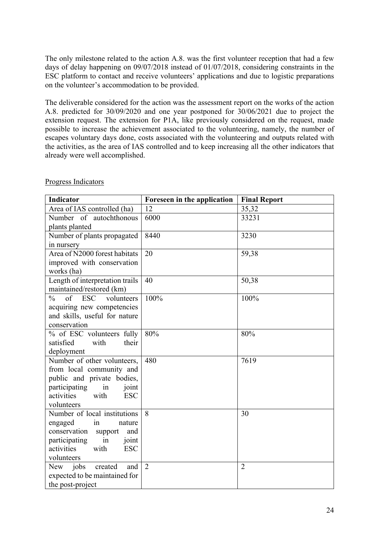The only milestone related to the action A.8. was the first volunteer reception that had a few days of delay happening on 09/07/2018 instead of 01/07/2018, considering constraints in the ESC platform to contact and receive volunteers' applications and due to logistic preparations on the volunteer's accommodation to be provided.

The deliverable considered for the action was the assessment report on the works of the action A.8. predicted for 30/09/2020 and one year postponed for 30/06/2021 due to project the extension request. The extension for P1A, like previously considered on the request, made possible to increase the achievement associated to the volunteering, namely, the number of escapes voluntary days done, costs associated with the volunteering and outputs related with the activities, as the area of IAS controlled and to keep increasing all the other indicators that already were well accomplished.

| <b>Indicator</b>                                                                                                                                                                             | Foreseen in the application | <b>Final Report</b> |
|----------------------------------------------------------------------------------------------------------------------------------------------------------------------------------------------|-----------------------------|---------------------|
| Area of IAS controlled (ha)                                                                                                                                                                  | 12                          | 35,32               |
| Number of autochthonous<br>plants planted                                                                                                                                                    | 6000                        | 33231               |
| Number of plants propagated<br>in nursery                                                                                                                                                    | 8440                        | 3230                |
| Area of N2000 forest habitats<br>improved with conservation<br>works (ha)                                                                                                                    | 20                          | 59,38               |
| Length of interpretation trails<br>maintained/restored (km)                                                                                                                                  | 40                          | 50,38               |
| $\frac{0}{0}$<br>of ESC<br>volunteers<br>acquiring new competencies<br>and skills, useful for nature<br>conservation                                                                         | 100%                        | 100%                |
| % of ESC volunteers fully<br>satisfied<br>with<br>their<br>deployment                                                                                                                        | 80%                         | 80%                 |
| Number of other volunteers,<br>from local community and<br>public and private bodies,<br>participating<br>in<br>joint<br>activities<br>with<br><b>ESC</b><br>volunteers                      | 480                         | 7619                |
| Number of local institutions<br>engaged<br>$\operatorname{in}$<br>nature<br>conservation<br>and<br>support<br>participating<br>in<br>joint<br>activities<br><b>ESC</b><br>with<br>volunteers | 8                           | 30                  |
| New jobs<br>created<br>and<br>expected to be maintained for<br>the post-project                                                                                                              | $\overline{2}$              | $\overline{2}$      |

### Progress Indicators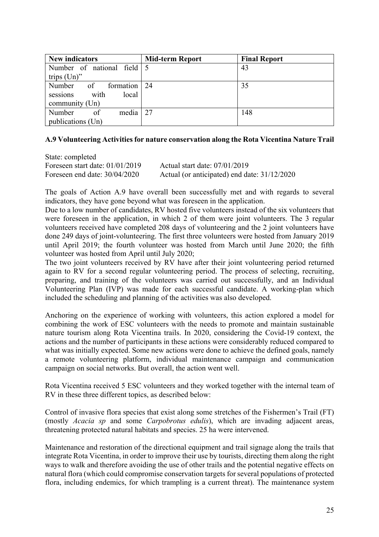| <b>New indicators</b>            | <b>Mid-term Report</b> | <b>Final Report</b> |
|----------------------------------|------------------------|---------------------|
| Number of national field   5     |                        | 43                  |
| trips $(Un)$ "                   |                        |                     |
| Number<br>of<br>formation 24     |                        | 35                  |
| sessions<br>with<br>local        |                        |                     |
| community $(Un)$                 |                        |                     |
| media $\vert$ 27<br>Number<br>of |                        | 148                 |
| publications (Un)                |                        |                     |

#### **A.9 Volunteering Activities for nature conservation along the Rota Vicentina Nature Trail**

| State: completed                  |                                              |
|-----------------------------------|----------------------------------------------|
| Foreseen start date: $01/01/2019$ | Actual start date: $07/01/2019$              |
| Foreseen end date: $30/04/2020$   | Actual (or anticipated) end date: 31/12/2020 |

The goals of Action A.9 have overall been successfully met and with regards to several indicators, they have gone beyond what was foreseen in the application.

Due to a low number of candidates, RV hosted five volunteers instead of the six volunteers that were foreseen in the application, in which 2 of them were joint volunteers. The 3 regular volunteers received have completed 208 days of volunteering and the 2 joint volunteers have done 249 days of joint-volunteering. The first three volunteers were hosted from January 2019 until April 2019; the fourth volunteer was hosted from March until June 2020; the fifth volunteer was hosted from April until July 2020;

The two joint volunteers received by RV have after their joint volunteering period returned again to RV for a second regular volunteering period. The process of selecting, recruiting, preparing, and training of the volunteers was carried out successfully, and an Individual Volunteering Plan (IVP) was made for each successful candidate. A working-plan which included the scheduling and planning of the activities was also developed.

Anchoring on the experience of working with volunteers, this action explored a model for combining the work of ESC volunteers with the needs to promote and maintain sustainable nature tourism along Rota Vicentina trails. In 2020, considering the Covid-19 context, the actions and the number of participants in these actions were considerably reduced compared to what was initially expected. Some new actions were done to achieve the defined goals, namely a remote volunteering platform, individual maintenance campaign and communication campaign on social networks. But overall, the action went well.

Rota Vicentina received 5 ESC volunteers and they worked together with the internal team of RV in these three different topics, as described below:

Control of invasive flora species that exist along some stretches of the Fishermen's Trail (FT) (mostly *Acacia sp* and some *Carpobrotus edulis*), which are invading adjacent areas, threatening protected natural habitats and species. 25 ha were intervened.

Maintenance and restoration of the directional equipment and trail signage along the trails that integrate Rota Vicentina, in order to improve their use by tourists, directing them along the right ways to walk and therefore avoiding the use of other trails and the potential negative effects on natural flora (which could compromise conservation targets for several populations of protected flora, including endemics, for which trampling is a current threat). The maintenance system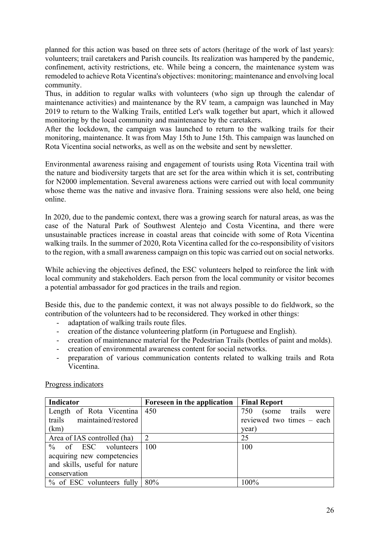planned for this action was based on three sets of actors (heritage of the work of last years): volunteers; trail caretakers and Parish councils. Its realization was hampered by the pandemic, confinement, activity restrictions, etc. While being a concern, the maintenance system was remodeled to achieve Rota Vicentina's objectives: monitoring; maintenance and envolving local community.

Thus, in addition to regular walks with volunteers (who sign up through the calendar of maintenance activities) and maintenance by the RV team, a campaign was launched in May 2019 to return to the Walking Trails, entitled Let's walk together but apart, which it allowed monitoring by the local community and maintenance by the caretakers.

After the lockdown, the campaign was launched to return to the walking trails for their monitoring, maintenance. It was from May 15th to June 15th. This campaign was launched on Rota Vicentina social networks, as well as on the website and sent by newsletter.

Environmental awareness raising and engagement of tourists using Rota Vicentina trail with the nature and biodiversity targets that are set for the area within which it is set, contributing for N2000 implementation. Several awareness actions were carried out with local community whose theme was the native and invasive flora. Training sessions were also held, one being online.

In 2020, due to the pandemic context, there was a growing search for natural areas, as was the case of the Natural Park of Southwest Alentejo and Costa Vicentina, and there were unsustainable practices increase in coastal areas that coincide with some of Rota Vicentina walking trails. In the summer of 2020, Rota Vicentina called for the co-responsibility of visitors to the region, with a small awareness campaign on this topic was carried out on social networks.

While achieving the objectives defined, the ESC volunteers helped to reinforce the link with local community and stakeholders. Each person from the local community or visitor becomes a potential ambassador for god practices in the trails and region.

Beside this, due to the pandemic context, it was not always possible to do fieldwork, so the contribution of the volunteers had to be reconsidered. They worked in other things:

- adaptation of walking trails route files.
- creation of the distance volunteering platform (in Portuguese and English).
- creation of maintenance material for the Pedestrian Trails (bottles of paint and molds).
- creation of environmental awareness content for social networks.
- preparation of various communication contents related to walking trails and Rota Vicentina.

| <b>Indicator</b>               | Foreseen in the application | <b>Final Report</b>         |
|--------------------------------|-----------------------------|-----------------------------|
| Length of Rota Vicentina   450 |                             | 750<br>(some trails<br>were |
| trails maintained/restored     |                             | reviewed two times - each   |
| (km)                           |                             | year)                       |
| Area of IAS controlled (ha)    | $\mathcal{D}_{\mathcal{L}}$ | 25                          |
| $\%$ of ESC volunteers 100     |                             | 100                         |
| acquiring new competencies     |                             |                             |
| and skills, useful for nature  |                             |                             |
| conservation                   |                             |                             |
| $%$ of ESC volunteers fully    | 80%                         | 100%                        |

#### Progress indicators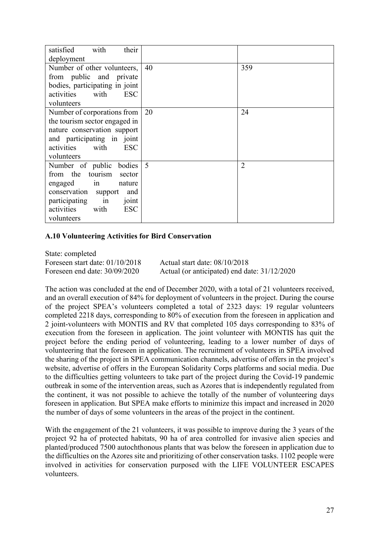| satisfied<br>with<br>their       |    |                |
|----------------------------------|----|----------------|
| deployment                       |    |                |
| Number of other volunteers,      | 40 | 359            |
| from public and private          |    |                |
| bodies, participating in joint   |    |                |
| activities<br>with<br><b>ESC</b> |    |                |
| volunteers                       |    |                |
| Number of corporations from      | 20 | 24             |
| the tourism sector engaged in    |    |                |
| nature conservation support      |    |                |
| and participating in joint       |    |                |
| <b>ESC</b><br>with<br>activities |    |                |
| volunteers                       |    |                |
| bodies  <br>Number of public     | 5  | $\overline{2}$ |
| from the tourism<br>sector       |    |                |
| engaged<br>nature<br>1n          |    |                |
| conservation<br>and<br>support   |    |                |
| participating<br>in<br>joint     |    |                |
| <b>ESC</b><br>activities<br>with |    |                |
| volunteers                       |    |                |

#### **A.10 Volunteering Activities for Bird Conservation**

State: completed Foreseen start date: 01/10/2018 Actual start date: 08/10/2018 Foreseen end date: 30/09/2020 Actual (or anticipated) end date: 31/12/2020

The action was concluded at the end of December 2020, with a total of 21 volunteers received, and an overall execution of 84% for deployment of volunteers in the project. During the course of the project SPEA's volunteers completed a total of 2323 days: 19 regular volunteers completed 2218 days, corresponding to 80% of execution from the foreseen in application and 2 joint-volunteers with MONTIS and RV that completed 105 days corresponding to 83% of execution from the foreseen in application. The joint volunteer with MONTIS has quit the project before the ending period of volunteering, leading to a lower number of days of volunteering that the foreseen in application. The recruitment of volunteers in SPEA involved the sharing of the project in SPEA communication channels, advertise of offers in the project's website, advertise of offers in the European Solidarity Corps platforms and social media. Due to the difficulties getting volunteers to take part of the project during the Covid-19 pandemic outbreak in some of the intervention areas, such as Azores that is independently regulated from the continent, it was not possible to achieve the totally of the number of volunteering days foreseen in application. But SPEA make efforts to minimize this impact and increased in 2020 the number of days of some volunteers in the areas of the project in the continent.

With the engagement of the 21 volunteers, it was possible to improve during the 3 years of the project 92 ha of protected habitats, 90 ha of area controlled for invasive alien species and planted/produced 7500 autochthonous plants that was below the foreseen in application due to the difficulties on the Azores site and prioritizing of other conservation tasks. 1102 people were involved in activities for conservation purposed with the LIFE VOLUNTEER ESCAPES volunteers.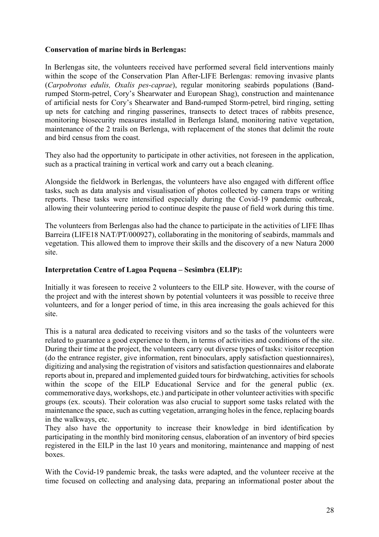## **Conservation of marine birds in Berlengas:**

In Berlengas site, the volunteers received have performed several field interventions mainly within the scope of the Conservation Plan After-LIFE Berlengas: removing invasive plants (*Carpobrotus edulis, Oxalis pes-caprae*), regular monitoring seabirds populations (Bandrumped Storm-petrel, Cory's Shearwater and European Shag), construction and maintenance of artificial nests for Cory's Shearwater and Band-rumped Storm-petrel, bird ringing, setting up nets for catching and ringing passerines, transects to detect traces of rabbits presence, monitoring biosecurity measures installed in Berlenga Island, monitoring native vegetation, maintenance of the 2 trails on Berlenga, with replacement of the stones that delimit the route and bird census from the coast.

They also had the opportunity to participate in other activities, not foreseen in the application, such as a practical training in vertical work and carry out a beach cleaning.

Alongside the fieldwork in Berlengas, the volunteers have also engaged with different office tasks, such as data analysis and visualisation of photos collected by camera traps or writing reports. These tasks were intensified especially during the Covid-19 pandemic outbreak, allowing their volunteering period to continue despite the pause of field work during this time.

The volunteers from Berlengas also had the chance to participate in the activities of LIFE Ilhas Barreira (LIFE18 NAT/PT/000927), collaborating in the monitoring of seabirds, mammals and vegetation. This allowed them to improve their skills and the discovery of a new Natura 2000 site.

### **Interpretation Centre of Lagoa Pequena – Sesimbra (ELIP):**

Initially it was foreseen to receive 2 volunteers to the EILP site. However, with the course of the project and with the interest shown by potential volunteers it was possible to receive three volunteers, and for a longer period of time, in this area increasing the goals achieved for this site.

This is a natural area dedicated to receiving visitors and so the tasks of the volunteers were related to guarantee a good experience to them, in terms of activities and conditions of the site. During their time at the project, the volunteers carry out diverse types of tasks: visitor reception (do the entrance register, give information, rent binoculars, apply satisfaction questionnaires), digitizing and analysing the registration of visitors and satisfaction questionnaires and elaborate reports about in, prepared and implemented guided tours for birdwatching, activities for schools within the scope of the EILP Educational Service and for the general public (ex. commemorative days, workshops, etc.) and participate in other volunteer activities with specific groups (ex. scouts). Their coloration was also crucial to support some tasks related with the maintenance the space, such as cutting vegetation, arranging holes in the fence, replacing boards in the walkways, etc.

They also have the opportunity to increase their knowledge in bird identification by participating in the monthly bird monitoring census, elaboration of an inventory of bird species registered in the EILP in the last 10 years and monitoring, maintenance and mapping of nest boxes.

With the Covid-19 pandemic break, the tasks were adapted, and the volunteer receive at the time focused on collecting and analysing data, preparing an informational poster about the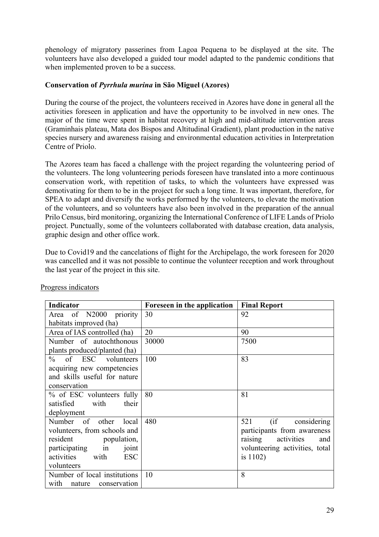phenology of migratory passerines from Lagoa Pequena to be displayed at the site. The volunteers have also developed a guided tour model adapted to the pandemic conditions that when implemented proven to be a success.

## **Conservation of** *Pyrrhula murina* **in São Miguel (Azores)**

During the course of the project, the volunteers received in Azores have done in general all the activities foreseen in application and have the opportunity to be involved in new ones. The major of the time were spent in habitat recovery at high and mid-altitude intervention areas (Graminhais plateau, Mata dos Bispos and Altitudinal Gradient), plant production in the native species nursery and awareness raising and environmental education activities in Interpretation Centre of Priolo.

The Azores team has faced a challenge with the project regarding the volunteering period of the volunteers. The long volunteering periods foreseen have translated into a more continuous conservation work, with repetition of tasks, to which the volunteers have expressed was demotivating for them to be in the project for such a long time. It was important, therefore, for SPEA to adapt and diversify the works performed by the volunteers, to elevate the motivation of the volunteers, and so volunteers have also been involved in the preparation of the annual Prilo Census, bird monitoring, organizing the International Conference of LIFE Lands of Priolo project. Punctually, some of the volunteers collaborated with database creation, data analysis, graphic design and other office work.

Due to Covid19 and the cancelations of flight for the Archipelago, the work foreseen for 2020 was cancelled and it was not possible to continue the volunteer reception and work throughout the last year of the project in this site.

| <b>Indicator</b>                 | Foreseen in the application | <b>Final Report</b>            |
|----------------------------------|-----------------------------|--------------------------------|
| Area of N2000 priority           | 30                          | 92                             |
| habitats improved (ha)           |                             |                                |
| Area of IAS controlled (ha)      | 20                          | 90                             |
| Number of autochthonous          | 30000                       | 7500                           |
| plants produced/planted (ha)     |                             |                                |
| $%$ of ESC volunteers            | 100                         | 83                             |
| acquiring new competencies       |                             |                                |
| and skills useful for nature     |                             |                                |
| conservation                     |                             |                                |
| % of ESC volunteers fully        | 80                          | 81                             |
| satisfied<br>their<br>with       |                             |                                |
| deployment                       |                             |                                |
| Number<br>of other<br>local      | 480                         | (if considering<br>521         |
| volunteers, from schools and     |                             | participants from awareness    |
| resident<br>population,          |                             | raising<br>activities<br>and   |
| participating<br>in<br>joint     |                             | volunteering activities, total |
| with<br>activities<br><b>ESC</b> |                             | is $1102$ )                    |
| volunteers                       |                             |                                |
| Number of local institutions     | 10                          | 8                              |
| with<br>nature conservation      |                             |                                |

Progress indicators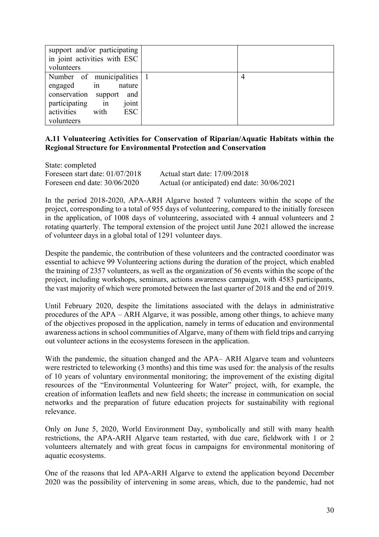| support and/or participating<br>in joint activities with ESC<br>volunteers                                     |  |
|----------------------------------------------------------------------------------------------------------------|--|
| Number of municipalities 1<br>engaged in<br>nature<br>conservation support<br>and<br>participating in<br>joint |  |
| activities<br>ESC<br>with<br>volunteers                                                                        |  |

## **A.11 Volunteering Activities for Conservation of Riparian/Aquatic Habitats within the Regional Structure for Environmental Protection and Conservation**

State: completed Foreseen start date: 01/07/2018 Actual start date: 17/09/2018 Foreseen end date: 30/06/2020 Actual (or anticipated) end date: 30/06/2021

In the period 2018-2020, APA-ARH Algarve hosted 7 volunteers within the scope of the project, corresponding to a total of 955 days of volunteering, compared to the initially foreseen in the application, of 1008 days of volunteering, associated with 4 annual volunteers and 2 rotating quarterly. The temporal extension of the project until June 2021 allowed the increase of volunteer days in a global total of 1291 volunteer days.

Despite the pandemic, the contribution of these volunteers and the contracted coordinator was essential to achieve 99 Volunteering actions during the duration of the project, which enabled the training of 2357 volunteers, as well as the organization of 56 events within the scope of the project, including workshops, seminars, actions awareness campaign, with 4583 participants, the vast majority of which were promoted between the last quarter of 2018 and the end of 2019.

Until February 2020, despite the limitations associated with the delays in administrative procedures of the APA – ARH Algarve, it was possible, among other things, to achieve many of the objectives proposed in the application, namely in terms of education and environmental awareness actions in school communities of Algarve, many of them with field trips and carrying out volunteer actions in the ecosystems foreseen in the application.

With the pandemic, the situation changed and the APA– ARH Algarve team and volunteers were restricted to teleworking (3 months) and this time was used for: the analysis of the results of 10 years of voluntary environmental monitoring; the improvement of the existing digital resources of the "Environmental Volunteering for Water" project, with, for example, the creation of information leaflets and new field sheets; the increase in communication on social networks and the preparation of future education projects for sustainability with regional relevance.

Only on June 5, 2020, World Environment Day, symbolically and still with many health restrictions, the APA-ARH Algarve team restarted, with due care, fieldwork with 1 or 2 volunteers alternately and with great focus in campaigns for environmental monitoring of aquatic ecosystems.

One of the reasons that led APA-ARH Algarve to extend the application beyond December 2020 was the possibility of intervening in some areas, which, due to the pandemic, had not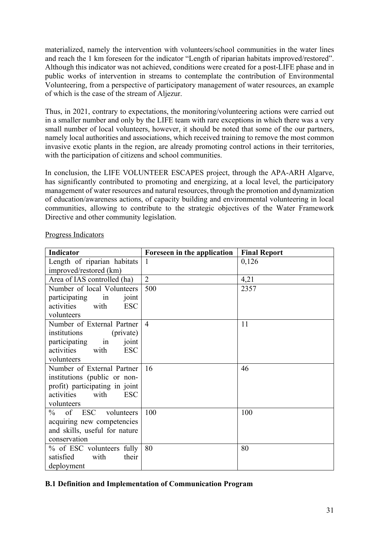materialized, namely the intervention with volunteers/school communities in the water lines and reach the 1 km foreseen for the indicator "Length of riparian habitats improved/restored". Although this indicator was not achieved, conditions were created for a post-LIFE phase and in public works of intervention in streams to contemplate the contribution of Environmental Volunteering, from a perspective of participatory management of water resources, an example of which is the case of the stream of Aljezur.

Thus, in 2021, contrary to expectations, the monitoring/volunteering actions were carried out in a smaller number and only by the LIFE team with rare exceptions in which there was a very small number of local volunteers, however, it should be noted that some of the our partners, namely local authorities and associations, which received training to remove the most common invasive exotic plants in the region, are already promoting control actions in their territories, with the participation of citizens and school communities.

In conclusion, the LIFE VOLUNTEER ESCAPES project, through the APA-ARH Algarve, has significantly contributed to promoting and energizing, at a local level, the participatory management of water resources and natural resources, through the promotion and dynamization of education/awareness actions, of capacity building and environmental volunteering in local communities, allowing to contribute to the strategic objectives of the Water Framework Directive and other community legislation.

| <b>Indicator</b>                 | Foreseen in the application | <b>Final Report</b> |
|----------------------------------|-----------------------------|---------------------|
| Length of riparian habitats      | 1                           | 0,126               |
| improved/restored (km)           |                             |                     |
| Area of IAS controlled (ha)      | $\overline{2}$              | 4,21                |
| Number of local Volunteers       | 500                         | 2357                |
| participating<br>in<br>joint     |                             |                     |
| activities<br>with<br><b>ESC</b> |                             |                     |
| volunteers                       |                             |                     |
| Number of External Partner       | $\overline{4}$              | 11                  |
| institutions<br>(private)        |                             |                     |
| participating<br>joint<br>in     |                             |                     |
| activities<br>with<br><b>ESC</b> |                             |                     |
| volunteers                       |                             |                     |
| Number of External Partner       | 16                          | 46                  |
| institutions (public or non-     |                             |                     |
| profit) participating in joint   |                             |                     |
| activities<br>with<br><b>ESC</b> |                             |                     |
| volunteers                       |                             |                     |
| $\%$<br>of ESC<br>volunteers     | 100                         | 100                 |
| acquiring new competencies       |                             |                     |
| and skills, useful for nature    |                             |                     |
| conservation                     |                             |                     |
| % of ESC volunteers fully        | 80                          | 80                  |
| satisfied<br>their<br>with       |                             |                     |
| deployment                       |                             |                     |

Progress Indicators

# **B.1 Definition and Implementation of Communication Program**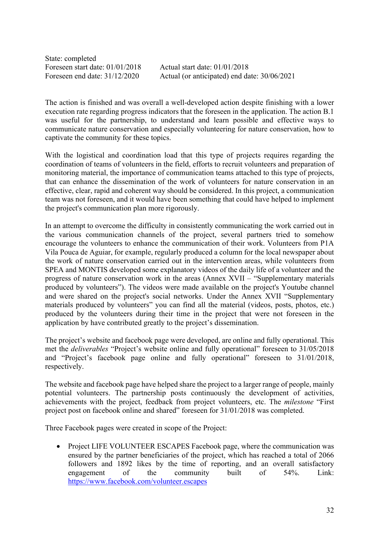State: completed Foreseen start date: 01/01/2018 Actual start date: 01/01/2018

Foreseen end date: 31/12/2020 Actual (or anticipated) end date: 30/06/2021

The action is finished and was overall a well-developed action despite finishing with a lower execution rate regarding progress indicators that the foreseen in the application. The action B.1 was useful for the partnership, to understand and learn possible and effective ways to communicate nature conservation and especially volunteering for nature conservation, how to captivate the community for these topics.

With the logistical and coordination load that this type of projects requires regarding the coordination of teams of volunteers in the field, efforts to recruit volunteers and preparation of monitoring material, the importance of communication teams attached to this type of projects, that can enhance the dissemination of the work of volunteers for nature conservation in an effective, clear, rapid and coherent way should be considered. In this project, a communication team was not foreseen, and it would have been something that could have helped to implement the project's communication plan more rigorously.

In an attempt to overcome the difficulty in consistently communicating the work carried out in the various communication channels of the project, several partners tried to somehow encourage the volunteers to enhance the communication of their work. Volunteers from P1A Vila Pouca de Aguiar, for example, regularly produced a column for the local newspaper about the work of nature conservation carried out in the intervention areas, while volunteers from SPEA and MONTIS developed some explanatory videos of the daily life of a volunteer and the progress of nature conservation work in the areas (Annex XVII – "Supplementary materials produced by volunteers"). The videos were made available on the project's Youtube channel and were shared on the project's social networks. Under the Annex XVII "Supplementary materials produced by volunteers" you can find all the material (videos, posts, photos, etc.) produced by the volunteers during their time in the project that were not foreseen in the application by have contributed greatly to the project's dissemination.

The project's website and facebook page were developed, are online and fully operational. This met the *deliverables* "Project's website online and fully operational" foreseen to 31/05/2018 and "Project's facebook page online and fully operational" foreseen to 31/01/2018, respectively.

The website and facebook page have helped share the project to a larger range of people, mainly potential volunteers. The partnership posts continuously the development of activities, achievements with the project, feedback from project volunteers, etc. The *milestone* "First project post on facebook online and shared" foreseen for 31/01/2018 was completed.

Three Facebook pages were created in scope of the Project:

• Project LIFE VOLUNTEER ESCAPES Facebook page, where the communication was ensured by the partner beneficiaries of the project, which has reached a total of 2066 followers and 1892 likes by the time of reporting, and an overall satisfactory engagement of the community built of 54%. Link: https://www.facebook.com/volunteer.escapes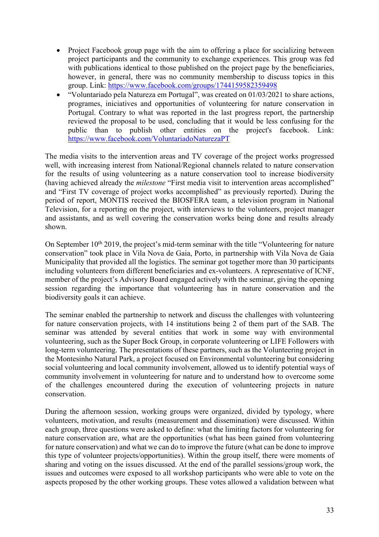- Project Facebook group page with the aim to offering a place for socializing between project participants and the community to exchange experiences. This group was fed with publications identical to those published on the project page by the beneficiaries, however, in general, there was no community membership to discuss topics in this group. Link: https://www.facebook.com/groups/1744159582359498
- "Voluntariado pela Natureza em Portugal", was created on 01/03/2021 to share actions, programes, iniciatives and opportunities of volunteering for nature conservation in Portugal. Contrary to what was reported in the last progress report, the partnership reviewed the proposal to be used, concluding that it would be less confusing for the public than to publish other entities on the project's facebook. Link: https://www.facebook.com/VoluntariadoNaturezaPT

The media visits to the intervention areas and TV coverage of the project works progressed well, with increasing interest from National/Regional channels related to nature conservation for the results of using volunteering as a nature conservation tool to increase biodiversity (having achieved already the *milestone* "First media visit to intervention areas accomplished" and "First TV coverage of project works accomplished" as previously reported). During the period of report, MONTIS received the BIOSFERA team, a television program in National Television, for a reporting on the project, with interviews to the volunteers, project manager and assistants, and as well covering the conservation works being done and results already shown.

On September  $10<sup>th</sup> 2019$ , the project's mid-term seminar with the title "Volunteering for nature" conservation" took place in Vila Nova de Gaia, Porto, in partnership with Vila Nova de Gaia Municipality that provided all the logistics. The seminar got together more than 30 participants including volunteers from different beneficiaries and ex-volunteers. A representative of ICNF, member of the project's Advisory Board engaged actively with the seminar, giving the opening session regarding the importance that volunteering has in nature conservation and the biodiversity goals it can achieve.

The seminar enabled the partnership to network and discuss the challenges with volunteering for nature conservation projects, with 14 institutions being 2 of them part of the SAB. The seminar was attended by several entities that work in some way with environmental volunteering, such as the Super Bock Group, in corporate volunteering or LIFE Followers with long-term volunteering. The presentations of these partners, such as the Volunteering project in the Montesinho Natural Park, a project focused on Environmental volunteering but considering social volunteering and local community involvement, allowed us to identify potential ways of community involvement in volunteering for nature and to understand how to overcome some of the challenges encountered during the execution of volunteering projects in nature conservation.

During the afternoon session, working groups were organized, divided by typology, where volunteers, motivation, and results (measurement and dissemination) were discussed. Within each group, three questions were asked to define: what the limiting factors for volunteering for nature conservation are, what are the opportunities (what has been gained from volunteering for nature conservation) and what we can do to improve the future (what can be done to improve this type of volunteer projects/opportunities). Within the group itself, there were moments of sharing and voting on the issues discussed. At the end of the parallel sessions/group work, the issues and outcomes were exposed to all workshop participants who were able to vote on the aspects proposed by the other working groups. These votes allowed a validation between what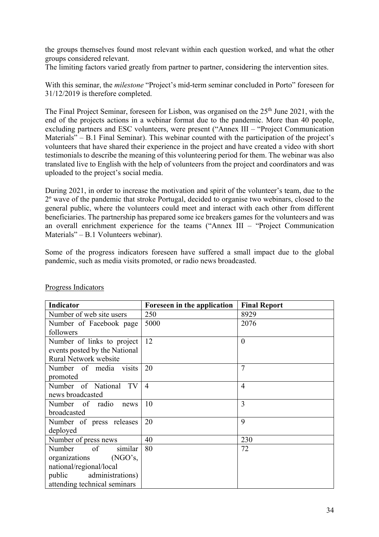the groups themselves found most relevant within each question worked, and what the other groups considered relevant.

The limiting factors varied greatly from partner to partner, considering the intervention sites.

With this seminar, the *milestone* "Project's mid-term seminar concluded in Porto" foreseen for 31/12/2019 is therefore completed.

The Final Project Seminar, foreseen for Lisbon, was organised on the 25<sup>th</sup> June 2021, with the end of the projects actions in a webinar format due to the pandemic. More than 40 people, excluding partners and ESC volunteers, were present ("Annex III – "Project Communication Materials" – B.1 Final Seminar). This webinar counted with the participation of the project's volunteers that have shared their experience in the project and have created a video with short testimonials to describe the meaning of this volunteering period for them. The webinar was also translated live to English with the help of volunteers from the project and coordinators and was uploaded to the project's social media.

During 2021, in order to increase the motivation and spirit of the volunteer's team, due to the 2º wave of the pandemic that stroke Portugal, decided to organise two webinars, closed to the general public, where the volunteers could meet and interact with each other from different beneficiaries. The partnership has prepared some ice breakers games for the volunteers and was an overall enrichment experience for the teams ("Annex III – "Project Communication Materials" – B.1 Volunteers webinar).

Some of the progress indicators foreseen have suffered a small impact due to the global pandemic, such as media visits promoted, or radio news broadcasted.

| Indicator                          | Foreseen in the application | <b>Final Report</b> |
|------------------------------------|-----------------------------|---------------------|
| Number of web site users           | 250                         | 8929                |
| Number of Facebook page            | 5000                        | 2076                |
| followers                          |                             |                     |
| Number of links to project         | 12                          | $\boldsymbol{0}$    |
| events posted by the National      |                             |                     |
| <b>Rural Network website</b>       |                             |                     |
| Number of media visits             | 20                          | $\overline{7}$      |
| promoted                           |                             |                     |
| Number of National TV              | $\overline{4}$              | 4                   |
| news broadcasted                   |                             |                     |
| Number of radio<br>news            | 10                          | 3                   |
| broadcasted                        |                             |                     |
| Number of press releases           | 20                          | 9                   |
| deployed                           |                             |                     |
| Number of press news               | 40                          | 230                 |
| Number<br>similar<br><sub>of</sub> | 80                          | 72                  |
| organizations<br>(NGO's,           |                             |                     |
| national/regional/local            |                             |                     |
| administrations)<br>public         |                             |                     |
| attending technical seminars       |                             |                     |

#### Progress Indicators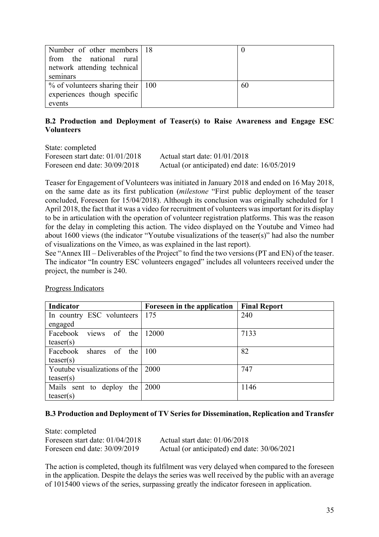| Number of other members 18             |    |
|----------------------------------------|----|
| from the national rural                |    |
| network attending technical            |    |
| seminars                               |    |
| $\%$ of volunteers sharing their   100 | 60 |
| experiences though specific            |    |
| events                                 |    |

# **B.2 Production and Deployment of Teaser(s) to Raise Awareness and Engage ESC Volunteers**

State: completed Foreseen start date: 01/01/2018 Actual start date: 01/01/2018

Foreseen end date: 30/09/2018 Actual (or anticipated) end date: 16/05/2019

Teaser for Engagement of Volunteers was initiated in January 2018 and ended on 16 May 2018, on the same date as its first publication (*milestone* "First public deployment of the teaser concluded, Foreseen for 15/04/2018). Although its conclusion was originally scheduled for 1 April 2018, the fact that it was a video for recruitment of volunteers was important for its display to be in articulation with the operation of volunteer registration platforms. This was the reason for the delay in completing this action. The video displayed on the Youtube and Vimeo had about 1600 views (the indicator "Youtube visualizations of the teaser(s)" had also the number of visualizations on the Vimeo, as was explained in the last report).

See "Annex III – Deliverables of the Project" to find the two versions (PT and EN) of the teaser. The indicator "In country ESC volunteers engaged" includes all volunteers received under the project, the number is 240.

| <b>Indicator</b>               | Foreseen in the application | <b>Final Report</b> |
|--------------------------------|-----------------------------|---------------------|
| In country ESC volunteers      | 175                         | 240                 |
| engaged                        |                             |                     |
| views<br>Facebook<br>of<br>the | 12000                       | 7133                |
| teaser(s)                      |                             |                     |
| Facebook shares of the         | 100                         | 82                  |
| teaser(s)                      |                             |                     |
| Youtube visualizations of the  | 2000                        | 747                 |
| teaser(s)                      |                             |                     |
| Mails sent to deploy<br>the    | 2000                        | 1146                |
| teaser(s)                      |                             |                     |

Progress Indicators

## **B.3 Production and Deployment of TV Series for Dissemination, Replication and Transfer**

State: completed Foreseen start date: 01/04/2018 Actual start date: 01/06/2018 Foreseen end date: 30/09/2019 Actual (or anticipated) end date: 30/06/2021

The action is completed, though its fulfilment was very delayed when compared to the foreseen in the application. Despite the delays the series was well received by the public with an average of 1015400 views of the series, surpassing greatly the indicator foreseen in application.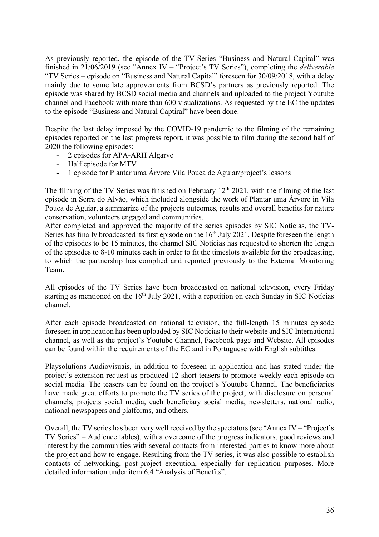As previously reported, the episode of the TV-Series "Business and Natural Capital" was finished in 21/06/2019 (see "Annex IV – "Project's TV Series"), completing the *deliverable* "TV Series – episode on "Business and Natural Capital" foreseen for 30/09/2018, with a delay mainly due to some late approvements from BCSD's partners as previously reported. The episode was shared by BCSD social media and channels and uploaded to the project Youtube channel and Facebook with more than 600 visualizations. As requested by the EC the updates to the episode "Business and Natural Captiral" have been done.

Despite the last delay imposed by the COVID-19 pandemic to the filming of the remaining episodes reported on the last progress report, it was possible to film during the second half of 2020 the following episodes:

- 2 episodes for APA-ARH Algarve
- Half episode for MTV
- 1 episode for Plantar uma Árvore Vila Pouca de Aguiar/project's lessons

The filming of the TV Series was finished on February  $12<sup>th</sup> 2021$ , with the filming of the last episode in Serra do Alvão, which included alongside the work of Plantar uma Árvore in Vila Pouca de Aguiar, a summarize of the projects outcomes, results and overall benefits for nature conservation, volunteers engaged and communities.

After completed and approved the majority of the series episodes by SIC Notícias, the TV-Series has finally broadcasted its first episode on the 16<sup>th</sup> July 2021. Despite foreseen the length of the episodes to be 15 minutes, the channel SIC Notícias has requested to shorten the length of the episodes to 8-10 minutes each in order to fit the timeslots available for the broadcasting, to which the partnership has complied and reported previously to the External Monitoring Team.

All episodes of the TV Series have been broadcasted on national television, every Friday starting as mentioned on the  $16<sup>th</sup>$  July 2021, with a repetition on each Sunday in SIC Notícias channel.

After each episode broadcasted on national television, the full-length 15 minutes episode foreseen in application has been uploaded by SIC Notíciasto their website and SIC International channel, as well as the project's Youtube Channel, Facebook page and Website. All episodes can be found within the requirements of the EC and in Portuguese with English subtitles.

Playsolutions Audiovisuais, in addition to foreseen in application and has stated under the project's extension request as produced 12 short teasers to promote weekly each episode on social media. The teasers can be found on the project's Youtube Channel. The beneficiaries have made great efforts to promote the TV series of the project, with disclosure on personal channels, projects social media, each beneficiary social media, newsletters, national radio, national newspapers and platforms, and others.

Overall, the TV series has been very well received by the spectators (see "Annex IV – "Project's TV Series" – Audience tables), with a overcome of the progress indicators, good reviews and interest by the communities with several contacts from interested parties to know more about the project and how to engage. Resulting from the TV series, it was also possible to establish contacts of networking, post-project execution, especially for replication purposes. More detailed information under item 6.4 "Analysis of Benefits".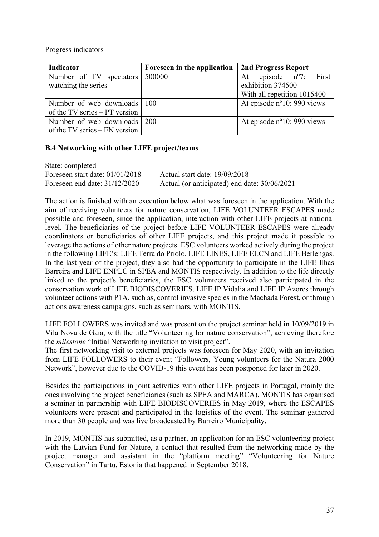### Progress indicators

| Indicator                       | Foreseen in the application | 2nd Progress Report                  |
|---------------------------------|-----------------------------|--------------------------------------|
| Number of TV spectators         | 500000                      | At episode $n^{\circ}$ . First       |
| watching the series             |                             | exhibition 374500                    |
|                                 |                             | With all repetition 1015400          |
| Number of web downloads   100   |                             | At episode $n^{\circ}10$ : 990 views |
| of the TV series $-PT$ version  |                             |                                      |
| Number of web downloads 200     |                             | At episode $n^{\circ}10$ : 990 views |
| of the TV series $-$ EN version |                             |                                      |

## **B.4 Networking with other LIFE project/teams**

| State: completed                  |                                              |
|-----------------------------------|----------------------------------------------|
| Foreseen start date: $01/01/2018$ | Actual start date: 19/09/2018                |
| Foreseen end date: $31/12/2020$   | Actual (or anticipated) end date: 30/06/2021 |

The action is finished with an execution below what was foreseen in the application. With the aim of receiving volunteers for nature conservation, LIFE VOLUNTEER ESCAPES made possible and foreseen, since the application, interaction with other LIFE projects at national level. The beneficiaries of the project before LIFE VOLUNTEER ESCAPES were already coordinators or beneficiaries of other LIFE projects, and this project made it possible to leverage the actions of other nature projects. ESC volunteers worked actively during the project in the following LIFE's: LIFE Terra do Priolo, LIFE LINES, LIFE ELCN and LIFE Berlengas. In the last year of the project, they also had the opportunity to participate in the LIFE Ilhas Barreira and LIFE ENPLC in SPEA and MONTIS respectively. In addition to the life directly linked to the project's beneficiaries, the ESC volunteers received also participated in the conservation work of LIFE BIODISCOVERIES, LIFE IP Vidalia and LIFE IP Azores through volunteer actions with P1A, such as, control invasive species in the Machada Forest, or through actions awareness campaigns, such as seminars, with MONTIS.

LIFE FOLLOWERS was invited and was present on the project seminar held in 10/09/2019 in Vila Nova de Gaia, with the title "Volunteering for nature conservation", achieving therefore the *milestone* "Initial Networking invitation to visit project".

The first networking visit to external projects was foreseen for May 2020, with an invitation from LIFE FOLLOWERS to their event "Followers, Young volunteers for the Natura 2000 Network", however due to the COVID-19 this event has been postponed for later in 2020.

Besides the participations in joint activities with other LIFE projects in Portugal, mainly the ones involving the project beneficiaries (such as SPEA and MARCA), MONTIS has organised a seminar in partnership with LIFE BIODISCOVERIES in May 2019, where the ESCAPES volunteers were present and participated in the logistics of the event. The seminar gathered more than 30 people and was live broadcasted by Barreiro Municipality.

In 2019, MONTIS has submitted, as a partner, an application for an ESC volunteering project with the Latvian Fund for Nature, a contact that resulted from the networking made by the project manager and assistant in the "platform meeting" "Volunteering for Nature Conservation" in Tartu, Estonia that happened in September 2018.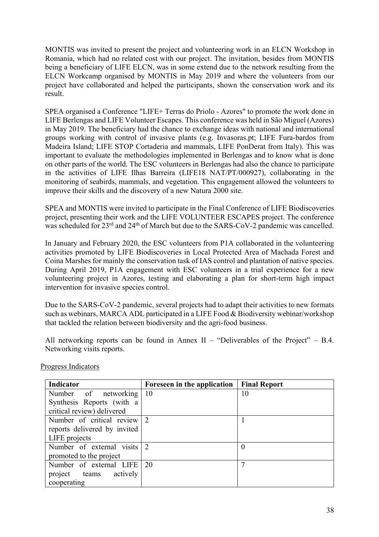MONTIS was invited to present the project and volunteering work in an ELCN Workshop in Romania, which had no related cost with our project. The invitation, besides from MONTIS being a beneficiary of LIFE ELCN, was in some extend due to the network resulting from the ELCN Workcamp organised by MONTIS in May 2019 and where the volunteers from our project have collaborated and helped the participants, shown the conservation work and its result.

SPEA organised a Conference "LIFE+ Terras do Priolo - Azores" to promote the work done in LIFE Berlengas and LIFE Volunteer Escapes. This conference was held in São Miguel (Azores) in May 2019. The beneficiary had the chance to exchange ideas with national and international groups working with control of invasive plants (e.g. Invasoras.pt; LIFE Fura-bardos from Madeira Island; LIFE STOP Cortaderia and mammals, LIFE PonDerat from Italy). This was important to evaluate the methodologies implemented in Berlengas and to know what is done on other parts of the world. The ESC volunteers in Berlengas had also the chance to participate in the activities of LIFE Ilhas Barreira (LIFE18 NAT/PT/000927), collaborating in the monitoring of seabirds, mammals, and vegetation. This engagement allowed the volunteers to improve their skills and the discovery of a new Natura 2000 site.

SPEA and MONTIS were invited to participate in the Final Conference of LIFE Biodiscoveries project, presenting their work and the LIFE VOLUNTEER ESCAPES project. The conference was scheduled for 23<sup>rd</sup> and 24<sup>th</sup> of March but due to the SARS-CoV-2 pandemic was cancelled.

In January and February 2020, the ESC volunteers from P1A collaborated in the volunteering activities promoted by LIFE Biodiscoveries in Local Protected Area of Machada Forest and Coina Marshes for mainly the conservation task of IAS control and plantation of native species. During April 2019, P1A engagement with ESC volunteers in a trial experience for a new volunteering project in Azores, testing and elaborating a plan for short-term high impact intervention for invasive species control.

Due to the SARS-CoV-2 pandemic, several projects had to adapt their activities to new formats such as webinars, MARCA ADL participated in a LIFE Food & Biodiversity webinar/workshop that tackled the relation between biodiversity and the agri-food business.

All networking reports can be found in Annex  $II$  – "Deliverables of the Project" – B.4. Networking visits reports.

| Indicator                           | Foreseen in the application | <b>Final Report</b> |
|-------------------------------------|-----------------------------|---------------------|
| Number of networking 10             |                             | 10                  |
| Synthesis Reports (with a           |                             |                     |
| critical review) delivered          |                             |                     |
| Number of critical review $\vert$ 2 |                             |                     |
| reports delivered by invited        |                             |                     |
| LIFE projects                       |                             |                     |
| Number of external visits           |                             | $\theta$            |
| promoted to the project             |                             |                     |
| Number of external LIFE             | 20                          |                     |
| project teams actively              |                             |                     |
| cooperating                         |                             |                     |

Progress Indicators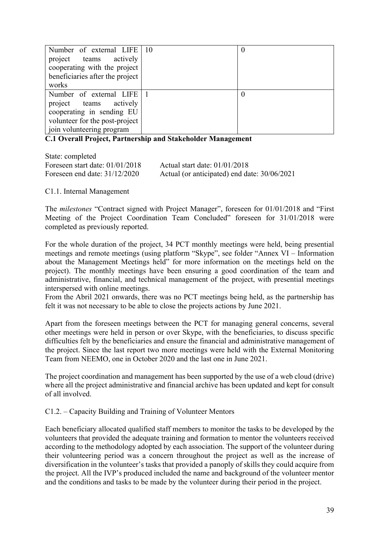| Number of external LIFE   10    | U |
|---------------------------------|---|
| project teams actively          |   |
| cooperating with the project    |   |
| beneficiaries after the project |   |
| works                           |   |
| Number of external LIFE 1       |   |
| project teams actively          |   |
| cooperating in sending EU       |   |
| volunteer for the post-project  |   |
| join volunteering program       |   |

**C.1 Overall Project, Partnership and Stakeholder Management**

| State: completed                  |                                              |
|-----------------------------------|----------------------------------------------|
| Foreseen start date: $01/01/2018$ | Actual start date: $01/01/2018$              |
| Foreseen end date: $31/12/2020$   | Actual (or anticipated) end date: 30/06/2021 |

C1.1. Internal Management

The *milestones* "Contract signed with Project Manager", foreseen for 01/01/2018 and "First Meeting of the Project Coordination Team Concluded" foreseen for 31/01/2018 were completed as previously reported.

For the whole duration of the project, 34 PCT monthly meetings were held, being presential meetings and remote meetings (using platform "Skype", see folder "Annex VI – Information about the Management Meetings held" for more information on the meetings held on the project). The monthly meetings have been ensuring a good coordination of the team and administrative, financial, and technical management of the project, with presential meetings interspersed with online meetings.

From the Abril 2021 onwards, there was no PCT meetings being held, as the partnership has felt it was not necessary to be able to close the projects actions by June 2021.

Apart from the foreseen meetings between the PCT for managing general concerns, several other meetings were held in person or over Skype, with the beneficiaries, to discuss specific difficulties felt by the beneficiaries and ensure the financial and administrative management of the project. Since the last report two more meetings were held with the External Monitoring Team from NEEMO, one in October 2020 and the last one in June 2021.

The project coordination and management has been supported by the use of a web cloud (drive) where all the project administrative and financial archive has been updated and kept for consult of all involved.

C1.2. – Capacity Building and Training of Volunteer Mentors

Each beneficiary allocated qualified staff members to monitor the tasks to be developed by the volunteers that provided the adequate training and formation to mentor the volunteers received according to the methodology adopted by each association. The support of the volunteer during their volunteering period was a concern throughout the project as well as the increase of diversification in the volunteer's tasks that provided a panoply of skills they could acquire from the project. All the IVP's produced included the name and background of the volunteer mentor and the conditions and tasks to be made by the volunteer during their period in the project.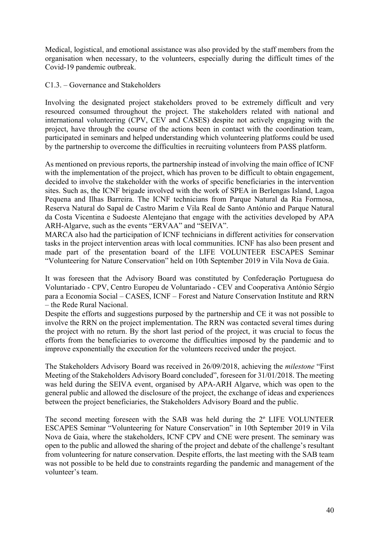Medical, logistical, and emotional assistance was also provided by the staff members from the organisation when necessary, to the volunteers, especially during the difficult times of the Covid-19 pandemic outbreak.

C1.3. – Governance and Stakeholders

Involving the designated project stakeholders proved to be extremely difficult and very resourced consumed throughout the project. The stakeholders related with national and international volunteering (CPV, CEV and CASES) despite not actively engaging with the project, have through the course of the actions been in contact with the coordination team, participated in seminars and helped understanding which volunteering platforms could be used by the partnership to overcome the difficulties in recruiting volunteers from PASS platform.

As mentioned on previous reports, the partnership instead of involving the main office of ICNF with the implementation of the project, which has proven to be difficult to obtain engagement, decided to involve the stakeholder with the works of specific beneficiaries in the intervention sites. Such as, the ICNF brigade involved with the work of SPEA in Berlengas Island, Lagoa Pequena and Ilhas Barreira. The ICNF technicians from Parque Natural da Ria Formosa, Reserva Natural do Sapal de Castro Marim e Vila Real de Santo António and Parque Natural da Costa Vicentina e Sudoeste Alentejano that engage with the activities developed by APA ARH-Algarve, such as the events "ERVAA" and "SEIVA".

MARCA also had the participation of ICNF technicians in different activities for conservation tasks in the project intervention areas with local communities. ICNF has also been present and made part of the presentation board of the LIFE VOLUNTEER ESCAPES Seminar "Volunteering for Nature Conservation" held on 10th September 2019 in Vila Nova de Gaia.

It was foreseen that the Advisory Board was constituted by Confederação Portuguesa do Voluntariado - CPV, Centro Europeu de Voluntariado - CEV and Cooperativa António Sérgio para a Economia Social – CASES, ICNF – Forest and Nature Conservation Institute and RRN – the Rede Rural Nacional.

Despite the efforts and suggestions purposed by the partnership and CE it was not possible to involve the RRN on the project implementation. The RRN was contacted several times during the project with no return. By the short last period of the project, it was crucial to focus the efforts from the beneficiaries to overcome the difficulties imposed by the pandemic and to improve exponentially the execution for the volunteers received under the project.

The Stakeholders Advisory Board was received in 26/09/2018, achieving the *milestone* "First Meeting of the Stakeholders Advisory Board concluded", foreseen for 31/01/2018. The meeting was held during the SEIVA event, organised by APA-ARH Algarve, which was open to the general public and allowed the disclosure of the project, the exchange of ideas and experiences between the project beneficiaries, the Stakeholders Advisory Board and the public.

The second meeting foreseen with the SAB was held during the 2º LIFE VOLUNTEER ESCAPES Seminar "Volunteering for Nature Conservation" in 10th September 2019 in Vila Nova de Gaia, where the stakeholders, ICNF CPV and CNE were present. The seminary was open to the public and allowed the sharing of the project and debate of the challenge's resultant from volunteering for nature conservation. Despite efforts, the last meeting with the SAB team was not possible to be held due to constraints regarding the pandemic and management of the volunteer's team.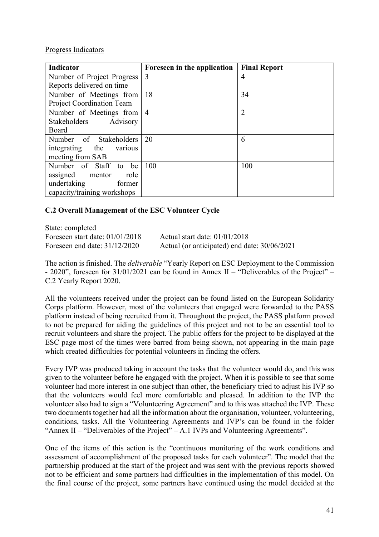Progress Indicators

| Indicator                        | Foreseen in the application | <b>Final Report</b> |
|----------------------------------|-----------------------------|---------------------|
| Number of Project Progress       | 3                           | 4                   |
| Reports delivered on time        |                             |                     |
| Number of Meetings from          | 18                          | 34                  |
| <b>Project Coordination Team</b> |                             |                     |
| Number of Meetings from   4      |                             | $\overline{2}$      |
| Stakeholders Advisory            |                             |                     |
| Board                            |                             |                     |
| Number of Stakeholders           | 20                          | 6                   |
| integrating<br>the<br>various    |                             |                     |
| meeting from SAB                 |                             |                     |
| Number of Staff<br>be<br>to      | 100                         | 100                 |
| role<br>assigned mentor          |                             |                     |
| undertaking<br>former            |                             |                     |
| capacity/training workshops      |                             |                     |

# **C.2 Overall Management of the ESC Volunteer Cycle**

State: completed Foreseen start date: 01/01/2018 Actual start date: 01/01/2018

Foreseen end date: 31/12/2020 Actual (or anticipated) end date: 30/06/2021

The action is finished. The *deliverable* "Yearly Report on ESC Deployment to the Commission - 2020", foreseen for 31/01/2021 can be found in Annex II – "Deliverables of the Project" – C.2 Yearly Report 2020.

All the volunteers received under the project can be found listed on the European Solidarity Corps platform. However, most of the volunteers that engaged were forwarded to the PASS platform instead of being recruited from it. Throughout the project, the PASS platform proved to not be prepared for aiding the guidelines of this project and not to be an essential tool to recruit volunteers and share the project. The public offers for the project to be displayed at the ESC page most of the times were barred from being shown, not appearing in the main page which created difficulties for potential volunteers in finding the offers.

Every IVP was produced taking in account the tasks that the volunteer would do, and this was given to the volunteer before he engaged with the project. When it is possible to see that some volunteer had more interest in one subject than other, the beneficiary tried to adjust his IVP so that the volunteers would feel more comfortable and pleased. In addition to the IVP the volunteer also had to sign a "Volunteering Agreement" and to this was attached the IVP. These two documents together had all the information about the organisation, volunteer, volunteering, conditions, tasks. All the Volunteering Agreements and IVP's can be found in the folder "Annex II – "Deliverables of the Project" – A.1 IVPs and Volunteering Agreements".

One of the items of this action is the "continuous monitoring of the work conditions and assessment of accomplishment of the proposed tasks for each volunteer". The model that the partnership produced at the start of the project and was sent with the previous reports showed not to be efficient and some partners had difficulties in the implementation of this model. On the final course of the project, some partners have continued using the model decided at the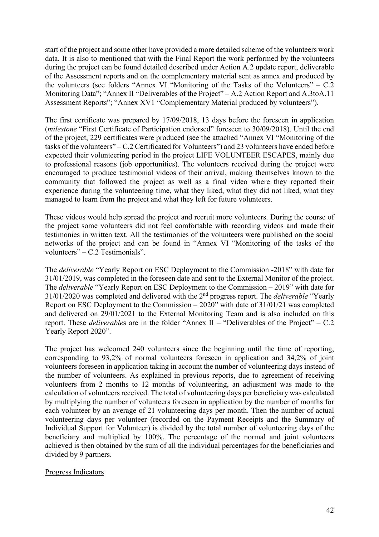start of the project and some other have provided a more detailed scheme of the volunteers work data. It is also to mentioned that with the Final Report the work performed by the volunteers during the project can be found detailed described under Action A.2 update report, deliverable of the Assessment reports and on the complementary material sent as annex and produced by the volunteers (see folders "Annex VI "Monitoring of the Tasks of the Volunteers" – C.2 Monitoring Data"; "Annex II "Deliverables of the Project" – A.2 Action Report and A.3toA.11 Assessment Reports"; "Annex XV1 "Complementary Material produced by volunteers").

The first certificate was prepared by 17/09/2018, 13 days before the foreseen in application (*milestone* "First Certificate of Participation endorsed" foreseen to 30/09/2018). Until the end of the project, 229 certificates were produced (see the attached "Annex VI "Monitoring of the tasks of the volunteers" – C.2 Certificated for Volunteers") and 23 volunteers have ended before expected their volunteering period in the project LIFE VOLUNTEER ESCAPES, mainly due to professional reasons (job opportunities). The volunteers received during the project were encouraged to produce testimonial videos of their arrival, making themselves known to the community that followed the project as well as a final video where they reported their experience during the volunteering time, what they liked, what they did not liked, what they managed to learn from the project and what they left for future volunteers.

These videos would help spread the project and recruit more volunteers. During the course of the project some volunteers did not feel comfortable with recording videos and made their testimonies in written text. All the testimonies of the volunteers were published on the social networks of the project and can be found in "Annex VI "Monitoring of the tasks of the volunteers" – C.2 Testimonials".

The *deliverable* "Yearly Report on ESC Deployment to the Commission -2018" with date for 31/01/2019, was completed in the foreseen date and sent to the External Monitor of the project. The *deliverable* "Yearly Report on ESC Deployment to the Commission – 2019" with date for 31/01/2020 was completed and delivered with the 2nd progress report. The *deliverable* "Yearly Report on ESC Deployment to the Commission – 2020" with date of 31/01/21 was completed and delivered on 29/01/2021 to the External Monitoring Team and is also included on this report. These *deliverable*s are in the folder "Annex II – "Deliverables of the Project" – C.2 Yearly Report 2020".

The project has welcomed 240 volunteers since the beginning until the time of reporting, corresponding to 93,2% of normal volunteers foreseen in application and 34,2% of joint volunteers foreseen in application taking in account the number of volunteering days instead of the number of volunteers. As explained in previous reports, due to agreement of receiving volunteers from 2 months to 12 months of volunteering, an adjustment was made to the calculation of volunteers received. The total of volunteering days per beneficiary was calculated by multiplying the number of volunteers foreseen in application by the number of months for each volunteer by an average of 21 volunteering days per month. Then the number of actual volunteering days per volunteer (recorded on the Payment Receipts and the Summary of Individual Support for Volunteer) is divided by the total number of volunteering days of the beneficiary and multiplied by 100%. The percentage of the normal and joint volunteers achieved is then obtained by the sum of all the individual percentages for the beneficiaries and divided by 9 partners.

## Progress Indicators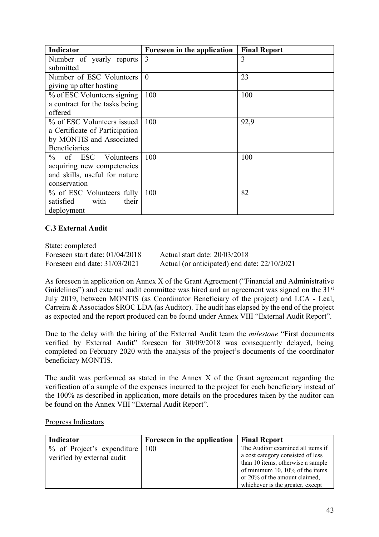| <b>Indicator</b>                      | Foreseen in the application | <b>Final Report</b> |
|---------------------------------------|-----------------------------|---------------------|
| Number of yearly reports              | 3                           | 3                   |
| submitted                             |                             |                     |
| Number of ESC Volunteers              | $\theta$                    | 23                  |
| giving up after hosting               |                             |                     |
| % of ESC Volunteers signing           | 100                         | 100                 |
| a contract for the tasks being        |                             |                     |
| offered                               |                             |                     |
| % of ESC Volunteers issued            | 100                         | 92,9                |
| a Certificate of Participation        |                             |                     |
| by MONTIS and Associated              |                             |                     |
| <b>Beneficiaries</b>                  |                             |                     |
| $\frac{0}{0}$<br>of ESC<br>Volunteers | 100                         | 100                 |
| acquiring new competencies            |                             |                     |
| and skills, useful for nature         |                             |                     |
| conservation                          |                             |                     |
| % of ESC Volunteers fully             | 100                         | 82                  |
| satisfied<br>with<br>their            |                             |                     |
| deployment                            |                             |                     |

## **C.3 External Audit**

State: completed Foreseen start date: 01/04/2018 Actual start date: 20/03/2018

Foreseen end date: 31/03/2021 Actual (or anticipated) end date: 22/10/2021

As foreseen in application on Annex X of the Grant Agreement ("Financial and Administrative Guidelines") and external audit committee was hired and an agreement was signed on the 31<sup>st</sup> July 2019, between MONTIS (as Coordinator Beneficiary of the project) and LCA - Leal, Carreira & Associados SROC LDA (as Auditor). The audit has elapsed by the end of the project as expected and the report produced can be found under Annex VIII "External Audit Report".

Due to the delay with the hiring of the External Audit team the *milestone* "First documents verified by External Audit" foreseen for 30/09/2018 was consequently delayed, being completed on February 2020 with the analysis of the project's documents of the coordinator beneficiary MONTIS.

The audit was performed as stated in the Annex X of the Grant agreement regarding the verification of a sample of the expenses incurred to the project for each beneficiary instead of the 100% as described in application, more details on the procedures taken by the auditor can be found on the Annex VIII "External Audit Report".

#### Progress Indicators

| Indicator                          | Foreseen in the application<br><b>Final Report</b> |                                   |
|------------------------------------|----------------------------------------------------|-----------------------------------|
| $%$ of Project's expenditure   100 |                                                    | The Auditor examined all items if |
| verified by external audit         |                                                    | a cost category consisted of less |
|                                    |                                                    | than 10 items, otherwise a sample |
|                                    |                                                    | of minimum 10, 10% of the items   |
|                                    |                                                    | or 20% of the amount claimed,     |
|                                    |                                                    | whichever is the greater, except  |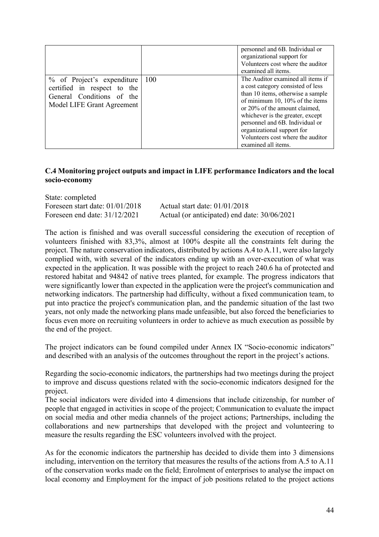|                                                                                                                      |     | personnel and 6B. Individual or<br>organizational support for<br>Volunteers cost where the auditor<br>examined all items.                                                                                                                                                                                                                        |
|----------------------------------------------------------------------------------------------------------------------|-----|--------------------------------------------------------------------------------------------------------------------------------------------------------------------------------------------------------------------------------------------------------------------------------------------------------------------------------------------------|
| % of Project's expenditure<br>certified in respect to the<br>General Conditions of the<br>Model LIFE Grant Agreement | 100 | The Auditor examined all items if<br>a cost category consisted of less<br>than 10 items, otherwise a sample<br>of minimum 10, 10% of the items<br>or 20% of the amount claimed,<br>whichever is the greater, except<br>personnel and 6B. Individual or<br>organizational support for<br>Volunteers cost where the auditor<br>examined all items. |

### **C.4 Monitoring project outputs and impact in LIFE performance Indicators and the local socio-economy**

State: completed Foreseen start date: 01/01/2018 Actual start date: 01/01/2018 Foreseen end date:  $31/12/2021$  Actual (or anticipated) end date:  $30/06/2021$ 

The action is finished and was overall successful considering the execution of reception of volunteers finished with 83,3%, almost at 100% despite all the constraints felt during the project. The nature conservation indicators, distributed by actions A.4 to A.11, were also largely complied with, with several of the indicators ending up with an over-execution of what was expected in the application. It was possible with the project to reach 240.6 ha of protected and restored habitat and 94842 of native trees planted, for example. The progress indicators that were significantly lower than expected in the application were the project's communication and networking indicators. The partnership had difficulty, without a fixed communication team, to put into practice the project's communication plan, and the pandemic situation of the last two years, not only made the networking plans made unfeasible, but also forced the beneficiaries to focus even more on recruiting volunteers in order to achieve as much execution as possible by the end of the project.

The project indicators can be found compiled under Annex IX "Socio-economic indicators" and described with an analysis of the outcomes throughout the report in the project's actions.

Regarding the socio-economic indicators, the partnerships had two meetings during the project to improve and discuss questions related with the socio-economic indicators designed for the project.

The social indicators were divided into 4 dimensions that include citizenship, for number of people that engaged in activities in scope of the project; Communication to evaluate the impact on social media and other media channels of the project actions; Partnerships, including the collaborations and new partnerships that developed with the project and volunteering to measure the results regarding the ESC volunteers involved with the project.

As for the economic indicators the partnership has decided to divide them into 3 dimensions including, intervention on the territory that measures the results of the actions from A.5 to A.11 of the conservation works made on the field; Enrolment of enterprises to analyse the impact on local economy and Employment for the impact of job positions related to the project actions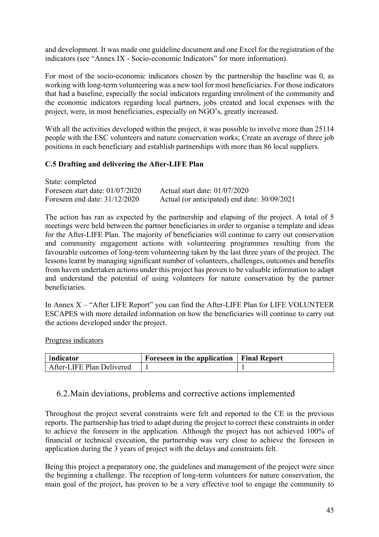and development. It was made one guideline document and one Excel for the registration of the indicators (see "Annex IX - Socio-economic Indicators" for more information).

For most of the socio-economic indicators chosen by the partnership the baseline was 0, as working with long-term volunteering was a new tool for most beneficiaries. For those indicators that had a baseline, especially the social indicators regarding enrolment of the community and the economic indicators regarding local partners, jobs created and local expenses with the project, were, in most beneficiaries, especially on NGO's, greatly increased.

With all the activities developed within the project, it was possible to involve more than 25114 people with the ESC volunteers and nature conservation works; Create an average of three job positions in each beneficiary and establish partnerships with more than 86 local suppliers.

# **C.5 Drafting and delivering the After-LIFE Plan**

| State: completed                  |                                              |
|-----------------------------------|----------------------------------------------|
| Foreseen start date: $01/07/2020$ | Actual start date: $01/07/2020$              |
| Foreseen end date: $31/12/2020$   | Actual (or anticipated) end date: 30/09/2021 |

The action has ran as expected by the partnership and elapsing of the project. A total of 5 meetings were held between the partner beneficiaries in order to organise a template and ideas for the After-LIFE Plan. The majority of beneficiaries will continue to carry out conservation and community engagement actions with volunteering programmes resulting from the favourable outcomes of long-term volunteering taken by the last three years of the project. The lessons learnt by managing significant number of volunteers, challenges, outcomes and benefits from haven undertaken actions under this project has proven to be valuable information to adapt and understand the potential of using volunteers for nature conservation by the partner beneficiaries.

In Annex X – "After LIFE Report" you can find the After-LIFE Plan for LIFE VOLUNTEER ESCAPES with more detailed information on how the beneficiaries will continue to carry out the actions developed under the project.

Progress indicators

| Indicator                 | Foreseen in the application   Final Report |  |
|---------------------------|--------------------------------------------|--|
| After-LIFE Plan Delivered |                                            |  |

# 6.2.Main deviations, problems and corrective actions implemented

Throughout the project several constraints were felt and reported to the CE in the previous reports. The partnership has tried to adapt during the project to correct these constraints in order to achieve the foreseen in the application. Although the project has not achieved 100% of financial or technical execution, the partnership was very close to achieve the foreseen in application during the 3 years of project with the delays and constraints felt.

Being this project a preparatory one, the guidelines and management of the project were since the beginning a challenge. The reception of long-term volunteers for nature conservation, the main goal of the project, has proven to be a very effective tool to engage the community to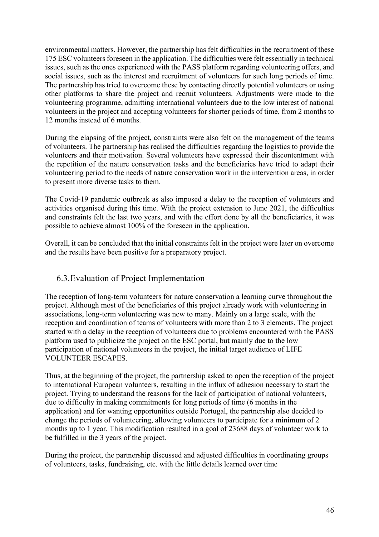environmental matters. However, the partnership has felt difficulties in the recruitment of these 175 ESC volunteers foreseen in the application. The difficulties were felt essentially in technical issues, such as the ones experienced with the PASS platform regarding volunteering offers, and social issues, such as the interest and recruitment of volunteers for such long periods of time. The partnership has tried to overcome these by contacting directly potential volunteers or using other platforms to share the project and recruit volunteers. Adjustments were made to the volunteering programme, admitting international volunteers due to the low interest of national volunteers in the project and accepting volunteers for shorter periods of time, from 2 months to 12 months instead of 6 months.

During the elapsing of the project, constraints were also felt on the management of the teams of volunteers. The partnership has realised the difficulties regarding the logistics to provide the volunteers and their motivation. Several volunteers have expressed their discontentment with the repetition of the nature conservation tasks and the beneficiaries have tried to adapt their volunteering period to the needs of nature conservation work in the intervention areas, in order to present more diverse tasks to them.

The Covid-19 pandemic outbreak as also imposed a delay to the reception of volunteers and activities organised during this time. With the project extension to June 2021, the difficulties and constraints felt the last two years, and with the effort done by all the beneficiaries, it was possible to achieve almost 100% of the foreseen in the application.

Overall, it can be concluded that the initial constraints felt in the project were later on overcome and the results have been positive for a preparatory project.

# 6.3.Evaluation of Project Implementation

The reception of long-term volunteers for nature conservation a learning curve throughout the project. Although most of the beneficiaries of this project already work with volunteering in associations, long-term volunteering was new to many. Mainly on a large scale, with the reception and coordination of teams of volunteers with more than 2 to 3 elements. The project started with a delay in the reception of volunteers due to problems encountered with the PASS platform used to publicize the project on the ESC portal, but mainly due to the low participation of national volunteers in the project, the initial target audience of LIFE VOLUNTEER ESCAPES.

Thus, at the beginning of the project, the partnership asked to open the reception of the project to international European volunteers, resulting in the influx of adhesion necessary to start the project. Trying to understand the reasons for the lack of participation of national volunteers, due to difficulty in making commitments for long periods of time (6 months in the application) and for wanting opportunities outside Portugal, the partnership also decided to change the periods of volunteering, allowing volunteers to participate for a minimum of 2 months up to 1 year. This modification resulted in a goal of 23688 days of volunteer work to be fulfilled in the 3 years of the project.

During the project, the partnership discussed and adjusted difficulties in coordinating groups of volunteers, tasks, fundraising, etc. with the little details learned over time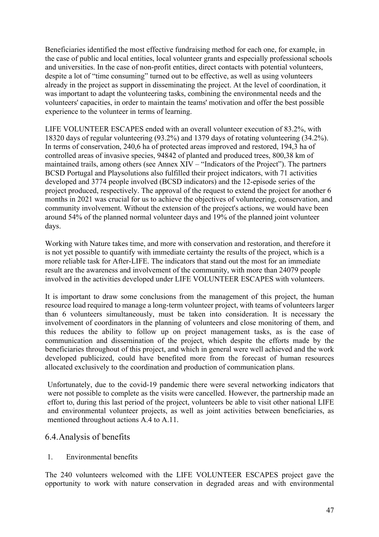Beneficiaries identified the most effective fundraising method for each one, for example, in the case of public and local entities, local volunteer grants and especially professional schools and universities. In the case of non-profit entities, direct contacts with potential volunteers, despite a lot of "time consuming" turned out to be effective, as well as using volunteers already in the project as support in disseminating the project. At the level of coordination, it was important to adapt the volunteering tasks, combining the environmental needs and the volunteers' capacities, in order to maintain the teams' motivation and offer the best possible experience to the volunteer in terms of learning.

LIFE VOLUNTEER ESCAPES ended with an overall volunteer execution of 83.2%, with 18320 days of regular volunteering (93.2%) and 1379 days of rotating volunteering (34.2%). In terms of conservation, 240,6 ha of protected areas improved and restored, 194,3 ha of controlled areas of invasive species, 94842 of planted and produced trees, 800,38 km of maintained trails, among others (see Annex XIV – "Indicators of the Project"). The partners BCSD Portugal and Playsolutions also fulfilled their project indicators, with 71 activities developed and 3774 people involved (BCSD indicators) and the 12-episode series of the project produced, respectively. The approval of the request to extend the project for another 6 months in 2021 was crucial for us to achieve the objectives of volunteering, conservation, and community involvement. Without the extension of the project's actions, we would have been around 54% of the planned normal volunteer days and 19% of the planned joint volunteer days.

Working with Nature takes time, and more with conservation and restoration, and therefore it is not yet possible to quantify with immediate certainty the results of the project, which is a more reliable task for After-LIFE. The indicators that stand out the most for an immediate result are the awareness and involvement of the community, with more than 24079 people involved in the activities developed under LIFE VOLUNTEER ESCAPES with volunteers.

It is important to draw some conclusions from the management of this project, the human resource load required to manage a long-term volunteer project, with teams of volunteers larger than 6 volunteers simultaneously, must be taken into consideration. It is necessary the involvement of coordinators in the planning of volunteers and close monitoring of them, and this reduces the ability to follow up on project management tasks, as is the case of communication and dissemination of the project, which despite the efforts made by the beneficiaries throughout of this project, and which in general were well achieved and the work developed publicized, could have benefited more from the forecast of human resources allocated exclusively to the coordination and production of communication plans.

Unfortunately, due to the covid-19 pandemic there were several networking indicators that were not possible to complete as the visits were cancelled. However, the partnership made an effort to, during this last period of the project, volunteers be able to visit other national LIFE and environmental volunteer projects, as well as joint activities between beneficiaries, as mentioned throughout actions A.4 to A.11.

## 6.4.Analysis of benefits

1. Environmental benefits

The 240 volunteers welcomed with the LIFE VOLUNTEER ESCAPES project gave the opportunity to work with nature conservation in degraded areas and with environmental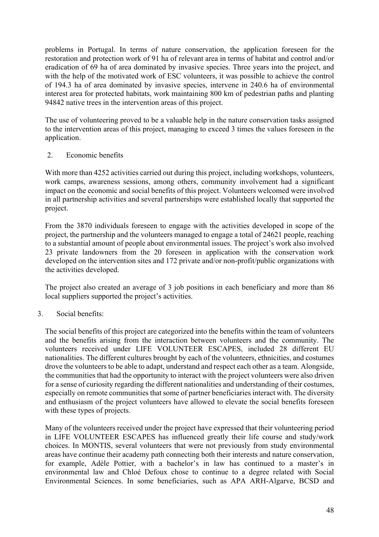problems in Portugal. In terms of nature conservation, the application foreseen for the restoration and protection work of 91 ha of relevant area in terms of habitat and control and/or eradication of 69 ha of area dominated by invasive species. Three years into the project, and with the help of the motivated work of ESC volunteers, it was possible to achieve the control of 194.3 ha of area dominated by invasive species, intervene in 240.6 ha of environmental interest area for protected habitats, work maintaining 800 km of pedestrian paths and planting 94842 native trees in the intervention areas of this project.

The use of volunteering proved to be a valuable help in the nature conservation tasks assigned to the intervention areas of this project, managing to exceed 3 times the values foreseen in the application.

## 2. Economic benefits

With more than 4252 activities carried out during this project, including workshops, volunteers, work camps, awareness sessions, among others, community involvement had a significant impact on the economic and social benefits of this project. Volunteers welcomed were involved in all partnership activities and several partnerships were established locally that supported the project.

From the 3870 individuals foreseen to engage with the activities developed in scope of the project, the partnership and the volunteers managed to engage a total of 24621 people, reaching to a substantial amount of people about environmental issues. The project's work also involved 23 private landowners from the 20 foreseen in application with the conservation work developed on the intervention sites and 172 private and/or non-profit/public organizations with the activities developed.

The project also created an average of 3 job positions in each beneficiary and more than 86 local suppliers supported the project's activities.

## 3. Social benefits:

The social benefits of this project are categorized into the benefits within the team of volunteers and the benefits arising from the interaction between volunteers and the community. The volunteers received under LIFE VOLUNTEER ESCAPES, included 28 different EU nationalities. The different cultures brought by each of the volunteers, ethnicities, and costumes drove the volunteers to be able to adapt, understand and respect each other as a team. Alongside, the communities that had the opportunity to interact with the project volunteers were also driven for a sense of curiosity regarding the different nationalities and understanding of their costumes, especially on remote communities that some of partner beneficiaries interact with. The diversity and enthusiasm of the project volunteers have allowed to elevate the social benefits foreseen with these types of projects.

Many of the volunteers received under the project have expressed that their volunteering period in LIFE VOLUNTEER ESCAPES has influenced greatly their life course and study/work choices. In MONTIS, several volunteers that were not previously from study environmental areas have continue their academy path connecting both their interests and nature conservation, for example, Adèle Pottier, with a bachelor's in law has continued to a master's in environmental law and Chloé Defoux chose to continue to a degree related with Social Environmental Sciences. In some beneficiaries, such as APA ARH-Algarve, BCSD and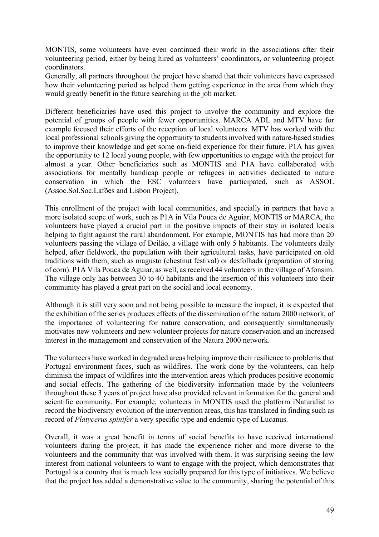MONTIS, some volunteers have even continued their work in the associations after their volunteering period, either by being hired as volunteers' coordinators, or volunteering project coordinators.

Generally, all partners throughout the project have shared that their volunteers have expressed how their volunteering period as helped them getting experience in the area from which they would greatly benefit in the future searching in the job market.

Different beneficiaries have used this project to involve the community and explore the potential of groups of people with fewer opportunities. MARCA ADL and MTV have for example focused their efforts of the reception of local volunteers. MTV has worked with the local professional schools giving the opportunity to students involved with nature-based studies to improve their knowledge and get some on-field experience for their future. P1A has given the opportunity to 12 local young people, with few opportunities to engage with the project for almost a year. Other beneficiaries such as MONTIS and P1A have collaborated with associations for mentally handicap people or refugees in activities dedicated to nature conservation in which the ESC volunteers have participated, such as ASSOL (Assoc.Sol.Soc.Lafões and Lisbon Project).

This enrollment of the project with local communities, and specially in partners that have a more isolated scope of work, such as P1A in Vila Pouca de Aguiar, MONTIS or MARCA, the volunteers have played a crucial part in the positive impacts of their stay in isolated locals helping to fight against the rural abandonment. For example, MONTIS has had more than 20 volunteers passing the village of Deilão, a village with only 5 habitants. The volunteers daily helped, after fieldwork, the population with their agricultural tasks, have participated on old traditions with them, such as magusto (chestnut festival) or desfolhada (preparation of storing of corn). P1A Vila Pouca de Aguiar, as well, as received 44 volunteers in the village of Afonsim. The village only has between 30 to 40 habitants and the insertion of this volunteers into their community has played a great part on the social and local economy.

Although it is still very soon and not being possible to measure the impact, it is expected that the exhibition of the series produces effects of the dissemination of the natura 2000 network, of the importance of volunteering for nature conservation, and consequently simultaneously motivates new volunteers and new volunteer projects for nature conservation and an increased interest in the management and conservation of the Natura 2000 network.

The volunteers have worked in degraded areas helping improve their resilience to problems that Portugal environment faces, such as wildfires. The work done by the volunteers, can help diminish the impact of wildfires into the intervention areas which produces positive economic and social effects. The gathering of the biodiversity information made by the volunteers throughout these 3 years of project have also provided relevant information for the general and scientific community. For example, volunteers in MONTIS used the platform iNaturalist to record the biodiversity evolution of the intervention areas, this has translated in finding such as record of *Platycerus spinifer* a very specific type and endemic type of Lucanus.

Overall, it was a great benefit in terms of social benefits to have received international volunteers during the project, it has made the experience richer and more diverse to the volunteers and the community that was involved with them. It was surprising seeing the low interest from national volunteers to want to engage with the project, which demonstrates that Portugal is a country that is much less socially prepared for this type of initiatives. We believe that the project has added a demonstrative value to the community, sharing the potential of this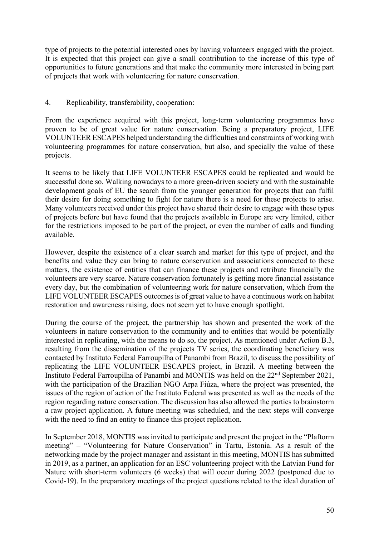type of projects to the potential interested ones by having volunteers engaged with the project. It is expected that this project can give a small contribution to the increase of this type of opportunities to future generations and that make the community more interested in being part of projects that work with volunteering for nature conservation.

# 4. Replicability, transferability, cooperation:

From the experience acquired with this project, long-term volunteering programmes have proven to be of great value for nature conservation. Being a preparatory project, LIFE VOLUNTEER ESCAPES helped understanding the difficulties and constraints of working with volunteering programmes for nature conservation, but also, and specially the value of these projects.

It seems to be likely that LIFE VOLUNTEER ESCAPES could be replicated and would be successful done so. Walking nowadays to a more green-driven society and with the sustainable development goals of EU the search from the younger generation for projects that can fulfil their desire for doing something to fight for nature there is a need for these projects to arise. Many volunteers received under this project have shared their desire to engage with these types of projects before but have found that the projects available in Europe are very limited, either for the restrictions imposed to be part of the project, or even the number of calls and funding available.

However, despite the existence of a clear search and market for this type of project, and the benefits and value they can bring to nature conservation and associations connected to these matters, the existence of entities that can finance these projects and retribute financially the volunteers are very scarce. Nature conservation fortunately is getting more financial assistance every day, but the combination of volunteering work for nature conservation, which from the LIFE VOLUNTEER ESCAPES outcomes is of great value to have a continuous work on habitat restoration and awareness raising, does not seem yet to have enough spotlight.

During the course of the project, the partnership has shown and presented the work of the volunteers in nature conservation to the community and to entities that would be potentially interested in replicating, with the means to do so, the project. As mentioned under Action B.3, resulting from the dissemination of the projects TV series, the coordinating beneficiary was contacted by Instituto Federal Farroupilha of Panambi from Brazil, to discuss the possibility of replicating the LIFE VOLUNTEER ESCAPES project, in Brazil. A meeting between the Instituto Federal Farroupilha of Panambi and MONTIS was held on the 22nd September 2021, with the participation of the Brazilian NGO Arpa Fiúza, where the project was presented, the issues of the region of action of the Instituto Federal was presented as well as the needs of the region regarding nature conservation. The discussion has also allowed the parties to brainstorm a raw project application. A future meeting was scheduled, and the next steps will converge with the need to find an entity to finance this project replication.

In September 2018, MONTIS was invited to participate and present the project in the "Plaftorm meeting" – "Volunteering for Nature Conservation" in Tartu, Estonia. As a result of the networking made by the project manager and assistant in this meeting, MONTIS has submitted in 2019, as a partner, an application for an ESC volunteering project with the Latvian Fund for Nature with short-term volunteers (6 weeks) that will occur during 2022 (postponed due to Covid-19). In the preparatory meetings of the project questions related to the ideal duration of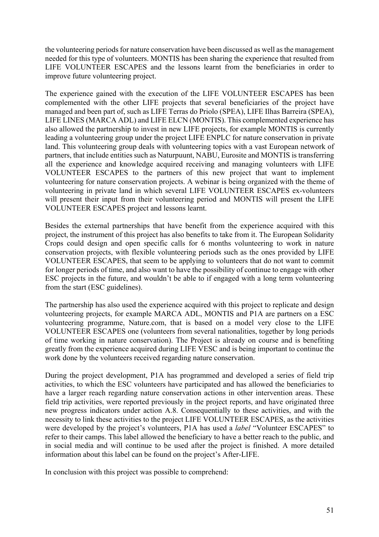the volunteering periods for nature conservation have been discussed as well as the management needed for this type of volunteers. MONTIS has been sharing the experience that resulted from LIFE VOLUNTEER ESCAPES and the lessons learnt from the beneficiaries in order to improve future volunteering project.

The experience gained with the execution of the LIFE VOLUNTEER ESCAPES has been complemented with the other LIFE projects that several beneficiaries of the project have managed and been part of, such as LIFE Terras do Priolo (SPEA), LIFE Ilhas Barreira (SPEA), LIFE LINES (MARCA ADL) and LIFE ELCN (MONTIS). This complemented experience has also allowed the partnership to invest in new LIFE projects, for example MONTIS is currently leading a volunteering group under the project LIFE ENPLC for nature conservation in private land. This volunteering group deals with volunteering topics with a vast European network of partners, that include entities such as Naturpuunt, NABU, Eurosite and MONTIS is transferring all the experience and knowledge acquired receiving and managing volunteers with LIFE VOLUNTEER ESCAPES to the partners of this new project that want to implement volunteering for nature conservation projects. A webinar is being organized with the theme of volunteering in private land in which several LIFE VOLUNTEER ESCAPES ex-volunteers will present their input from their volunteering period and MONTIS will present the LIFE VOLUNTEER ESCAPES project and lessons learnt.

Besides the external partnerships that have benefit from the experience acquired with this project, the instrument of this project has also benefits to take from it. The European Solidarity Crops could design and open specific calls for 6 months volunteering to work in nature conservation projects, with flexible volunteering periods such as the ones provided by LIFE VOLUNTEER ESCAPES, that seem to be applying to volunteers that do not want to commit for longer periods of time, and also want to have the possibility of continue to engage with other ESC projects in the future, and wouldn't be able to if engaged with a long term volunteering from the start (ESC guidelines).

The partnership has also used the experience acquired with this project to replicate and design volunteering projects, for example MARCA ADL, MONTIS and P1A are partners on a ESC volunteering programme, Nature.com, that is based on a model very close to the LIFE VOLUNTEER ESCAPES one (volunteers from several nationalities, together by long periods of time working in nature conservation). The Project is already on course and is benefiting greatly from the experience acquired during LIFE VESC and is being important to continue the work done by the volunteers received regarding nature conservation.

During the project development, P1A has programmed and developed a series of field trip activities, to which the ESC volunteers have participated and has allowed the beneficiaries to have a larger reach regarding nature conservation actions in other intervention areas. These field trip activities, were reported previously in the project reports, and have originated three new progress indicators under action A.8. Consequentially to these activities, and with the necessity to link these activities to the project LIFE VOLUNTEER ESCAPES, as the activities were developed by the project's volunteers, P1A has used a *label* "Volunteer ESCAPES" to refer to their camps. This label allowed the beneficiary to have a better reach to the public, and in social media and will continue to be used after the project is finished. A more detailed information about this label can be found on the project's After-LIFE.

In conclusion with this project was possible to comprehend: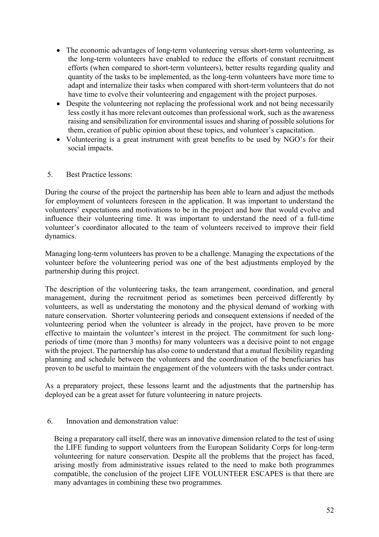- The economic advantages of long-term volunteering versus short-term volunteering, as the long-term volunteers have enabled to reduce the efforts of constant recruitment efforts (when compared to short-term volunteers), better results regarding quality and quantity of the tasks to be implemented, as the long-term volunteers have more time to adapt and internalize their tasks when compared with short-term volunteers that do not have time to evolve their volunteering and engagement with the project purposes.
- Despite the volunteering not replacing the professional work and not being necessarily less costly it has more relevant outcomes than professional work, such as the awareness raising and sensibilization for environmental issues and sharing of possible solutions for them, creation of public opinion about these topics, and volunteer's capacitation.
- Volunteering is a great instrument with great benefits to be used by NGO's for their social impacts.
- 5. Best Practice lessons:

During the course of the project the partnership has been able to learn and adjust the methods for employment of volunteers foreseen in the application. It was important to understand the volunteers' expectations and motivations to be in the project and how that would evolve and influence their volunteering time. It was important to understand the need of a full-time volunteer's coordinator allocated to the team of volunteers received to improve their field dynamics.

Managing long-term volunteers has proven to be a challenge. Managing the expectations of the volunteer before the volunteering period was one of the best adjustments employed by the partnership during this project.

The description of the volunteering tasks, the team arrangement, coordination, and general management, during the recruitment period as sometimes been perceived differently by volunteers, as well as understating the monotony and the physical demand of working with nature conservation. Shorter volunteering periods and consequent extensions if needed of the volunteering period when the volunteer is already in the project, have proven to be more effective to maintain the volunteer's interest in the project. The commitment for such longperiods of time (more than 3 months) for many volunteers was a decisive point to not engage with the project. The partnership has also come to understand that a mutual flexibility regarding planning and schedule between the volunteers and the coordination of the beneficiaries has proven to be useful to maintain the engagement of the volunteers with the tasks under contract.

As a preparatory project, these lessons learnt and the adjustments that the partnership has deployed can be a great asset for future volunteering in nature projects.

#### 6. Innovation and demonstration value:

Being a preparatory call itself, there was an innovative dimension related to the test of using the LIFE funding to support volunteers from the European Solidarity Corps for long-term volunteering for nature conservation. Despite all the problems that the project has faced, arising mostly from administrative issues related to the need to make both programmes compatible, the conclusion of the project LIFE VOLUNTEER ESCAPES is that there are many advantages in combining these two programmes.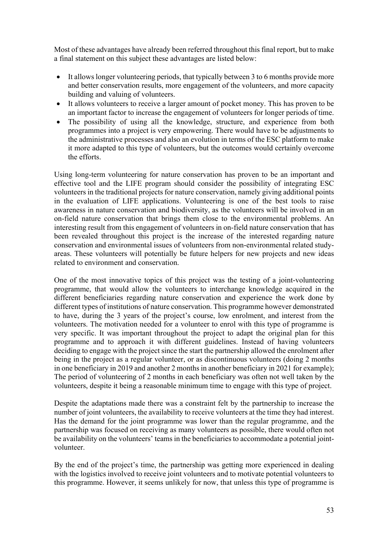Most of these advantages have already been referred throughout this final report, but to make a final statement on this subject these advantages are listed below:

- It allows longer volunteering periods, that typically between 3 to 6 months provide more and better conservation results, more engagement of the volunteers, and more capacity building and valuing of volunteers.
- It allows volunteers to receive a larger amount of pocket money. This has proven to be an important factor to increase the engagement of volunteers for longer periods of time.
- The possibility of using all the knowledge, structure, and experience from both programmes into a project is very empowering. There would have to be adjustments to the administrative processes and also an evolution in terms of the ESC platform to make it more adapted to this type of volunteers, but the outcomes would certainly overcome the efforts.

Using long-term volunteering for nature conservation has proven to be an important and effective tool and the LIFE program should consider the possibility of integrating ESC volunteers in the traditional projects for nature conservation, namely giving additional points in the evaluation of LIFE applications. Volunteering is one of the best tools to raise awareness in nature conservation and biodiversity, as the volunteers will be involved in an on-field nature conservation that brings them close to the environmental problems. An interesting result from this engagement of volunteers in on-field nature conservation that has been revealed throughout this project is the increase of the interested regarding nature conservation and environmental issues of volunteers from non-environmental related studyareas. These volunteers will potentially be future helpers for new projects and new ideas related to environment and conservation.

One of the most innovative topics of this project was the testing of a joint-volunteering programme, that would allow the volunteers to interchange knowledge acquired in the different beneficiaries regarding nature conservation and experience the work done by different types of institutions of nature conservation. This programme however demonstrated to have, during the 3 years of the project's course, low enrolment, and interest from the volunteers. The motivation needed for a volunteer to enrol with this type of programme is very specific. It was important throughout the project to adapt the original plan for this programme and to approach it with different guidelines. Instead of having volunteers deciding to engage with the project since the start the partnership allowed the enrolment after being in the project as a regular volunteer, or as discontinuous volunteers (doing 2 months in one beneficiary in 2019 and another 2 months in another beneficiary in 2021 for example); The period of volunteering of 2 months in each beneficiary was often not well taken by the volunteers, despite it being a reasonable minimum time to engage with this type of project.

Despite the adaptations made there was a constraint felt by the partnership to increase the number of joint volunteers, the availability to receive volunteers at the time they had interest. Has the demand for the joint programme was lower than the regular programme, and the partnership was focused on receiving as many volunteers as possible, there would often not be availability on the volunteers' teams in the beneficiaries to accommodate a potential jointvolunteer.

By the end of the project's time, the partnership was getting more experienced in dealing with the logistics involved to receive joint volunteers and to motivate potential volunteers to this programme. However, it seems unlikely for now, that unless this type of programme is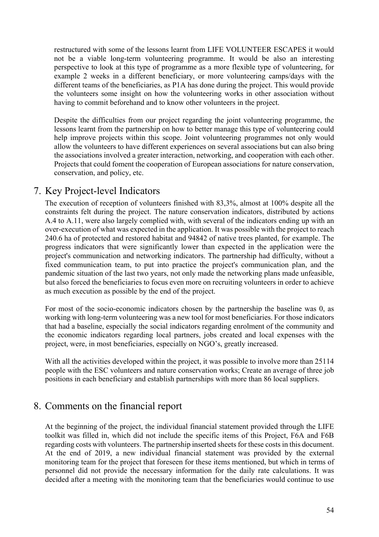restructured with some of the lessons learnt from LIFE VOLUNTEER ESCAPES it would not be a viable long-term volunteering programme. It would be also an interesting perspective to look at this type of programme as a more flexible type of volunteering, for example 2 weeks in a different beneficiary, or more volunteering camps/days with the different teams of the beneficiaries, as P1A has done during the project. This would provide the volunteers some insight on how the volunteering works in other association without having to commit beforehand and to know other volunteers in the project.

Despite the difficulties from our project regarding the joint volunteering programme, the lessons learnt from the partnership on how to better manage this type of volunteering could help improve projects within this scope. Joint volunteering programmes not only would allow the volunteers to have different experiences on several associations but can also bring the associations involved a greater interaction, networking, and cooperation with each other. Projects that could foment the cooperation of European associations for nature conservation, conservation, and policy, etc.

# 7. Key Project-level Indicators

The execution of reception of volunteers finished with 83,3%, almost at 100% despite all the constraints felt during the project. The nature conservation indicators, distributed by actions A.4 to A.11, were also largely complied with, with several of the indicators ending up with an over-execution of what was expected in the application. It was possible with the project to reach 240.6 ha of protected and restored habitat and 94842 of native trees planted, for example. The progress indicators that were significantly lower than expected in the application were the project's communication and networking indicators. The partnership had difficulty, without a fixed communication team, to put into practice the project's communication plan, and the pandemic situation of the last two years, not only made the networking plans made unfeasible, but also forced the beneficiaries to focus even more on recruiting volunteers in order to achieve as much execution as possible by the end of the project.

For most of the socio-economic indicators chosen by the partnership the baseline was 0, as working with long-term volunteering was a new tool for most beneficiaries. For those indicators that had a baseline, especially the social indicators regarding enrolment of the community and the economic indicators regarding local partners, jobs created and local expenses with the project, were, in most beneficiaries, especially on NGO's, greatly increased.

With all the activities developed within the project, it was possible to involve more than 25114 people with the ESC volunteers and nature conservation works; Create an average of three job positions in each beneficiary and establish partnerships with more than 86 local suppliers.

# 8. Comments on the financial report

At the beginning of the project, the individual financial statement provided through the LIFE toolkit was filled in, which did not include the specific items of this Project, F6A and F6B regarding costs with volunteers. The partnership inserted sheets for these costs in this document. At the end of 2019, a new individual financial statement was provided by the external monitoring team for the project that foreseen for these items mentioned, but which in terms of personnel did not provide the necessary information for the daily rate calculations. It was decided after a meeting with the monitoring team that the beneficiaries would continue to use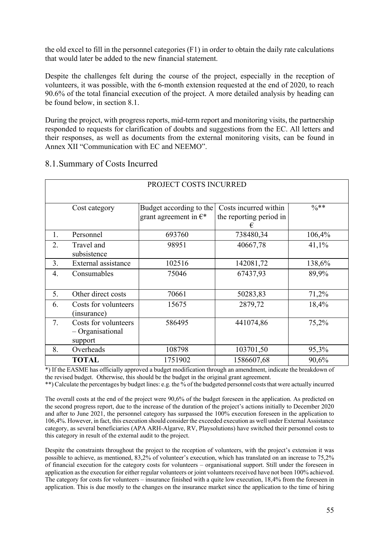the old excel to fill in the personnel categories (F1) in order to obtain the daily rate calculations that would later be added to the new financial statement.

Despite the challenges felt during the course of the project, especially in the reception of volunteers, it was possible, with the 6-month extension requested at the end of 2020, to reach 90.6% of the total financial execution of the project. A more detailed analysis by heading can be found below, in section 8.1.

During the project, with progress reports, mid-term report and monitoring visits, the partnership responded to requests for clarification of doubts and suggestions from the EC. All letters and their responses, as well as documents from the external monitoring visits, can be found in Annex XII "Communication with EC and NEEMO".

# 8.1.Summary of Costs Incurred

| PROJECT COSTS INCURRED |                                                     |                                                            |                                                       |                  |
|------------------------|-----------------------------------------------------|------------------------------------------------------------|-------------------------------------------------------|------------------|
|                        | Cost category                                       | Budget according to the<br>grant agreement in $\epsilon^*$ | Costs incurred within<br>the reporting period in<br>€ | $\frac{0}{6}$ ** |
| 1.                     | Personnel                                           | 693760                                                     | 738480,34                                             | 106,4%           |
| 2.                     | Travel and<br>subsistence                           | 98951                                                      | 40667,78                                              | 41,1%            |
| 3.                     | External assistance                                 | 102516                                                     | 142081,72                                             | 138,6%           |
| 4.                     | Consumables                                         | 75046                                                      | 67437,93                                              | 89,9%            |
| 5.                     | Other direct costs                                  | 70661                                                      | 50283,83                                              | 71,2%            |
| 6.                     | Costs for volunteers<br>(insurance)                 | 15675                                                      | 2879,72                                               | 18,4%            |
| 7.                     | Costs for volunteers<br>- Organisational<br>support | 586495                                                     | 441074,86                                             | 75,2%            |
| 8.                     | Overheads                                           | 108798                                                     | 103701,50                                             | 95,3%            |
|                        | <b>TOTAL</b>                                        | 1751902                                                    | 1586607,68                                            | 90,6%            |

\*) If the EASME has officially approved a budget modification through an amendment, indicate the breakdown of the revised budget. Otherwise, this should be the budget in the original grant agreement.

\*\*) Calculate the percentages by budget lines: e.g. the % of the budgeted personnel costs that were actually incurred

The overall costs at the end of the project were 90,6% of the budget foreseen in the application. As predicted on the second progress report, due to the increase of the duration of the project's actions initially to December 2020 and after to June 2021, the personnel category has surpassed the 100% execution foreseen in the application to 106,4%. However, in fact, this execution should consider the exceeded execution as well under External Assistance category, as several beneficiaries (APA ARH-Algarve, RV, Playsolutions) have switched their personnel costs to this category in result of the external audit to the project.

Despite the constraints throughout the project to the reception of volunteers, with the project's extension it was possible to achieve, as mentioned, 83,2% of volunteer's execution, which has translated on an increase to 75,2% of financial execution for the category costs for volunteers – organisational support. Still under the foreseen in application as the execution for either regular volunteers or joint volunteers received have not been 100% achieved. The category for costs for volunteers – insurance finished with a quite low execution, 18,4% from the foreseen in application. This is due mostly to the changes on the insurance market since the application to the time of hiring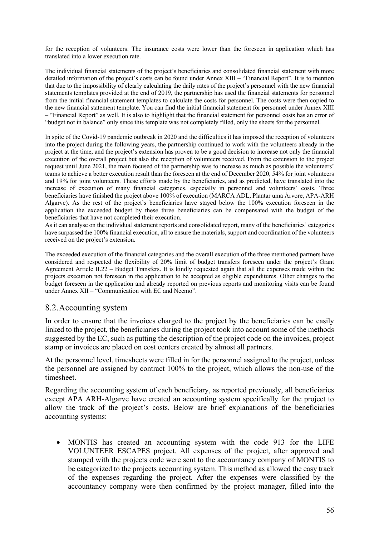for the reception of volunteers. The insurance costs were lower than the foreseen in application which has translated into a lower execution rate.

The individual financial statements of the project's beneficiaries and consolidated financial statement with more detailed information of the project's costs can be found under Annex XIII – "Financial Report". It is to mention that due to the impossibility of clearly calculating the daily rates of the project's personnel with the new financial statements templates provided at the end of 2019, the partnership has used the financial statements for personnel from the initial financial statement templates to calculate the costs for personnel. The costs were then copied to the new financial statement template. You can find the initial financial statement for personnel under Annex XIII – "Financial Report" as well. It is also to highlight that the financial statement for personnel costs has an error of "budget not in balance" only since this template was not completely filled, only the sheets for the personnel.

In spite of the Covid-19 pandemic outbreak in 2020 and the difficulties it has imposed the reception of volunteers into the project during the following years, the partnership continued to work with the volunteers already in the project at the time, and the project's extension has proven to be a good decision to increase not only the financial execution of the overall project but also the reception of volunteers received. From the extension to the project request until June 2021, the main focused of the partnership was to increase as much as possible the volunteers' teams to achieve a better execution result than the foreseen at the end of December 2020, 54% for joint volunteers and 19% for joint volunteers. These efforts made by the beneficiaries, and as predicted, have translated into the increase of execution of many financial categories, especially in personnel and volunteers' costs. Three beneficiaries have finished the project above 100% of execution (MARCA ADL, Plantar uma Árvore, APA-ARH Algarve). As the rest of the project's beneficiaries have stayed below the 100% execution foreseen in the application the exceeded budget by these three beneficiaries can be compensated with the budget of the beneficiaries that have not completed their execution.

As it can analyse on the individual statement reports and consolidated report, many of the beneficiaries' categories have surpassed the 100% financial execution, all to ensure the materials, support and coordination of the volunteers received on the project's extension.

The exceeded execution of the financial categories and the overall execution of the three mentioned partners have considered and respected the flexibility of 20% limit of budget transfers foreseen under the project's Grant Agreement Article II.22 – Budget Transfers. It is kindly requested again that all the expenses made within the projects execution not foreseen in the application to be accepted as eligible expenditures. Other changes to the budget foreseen in the application and already reported on previous reports and monitoring visits can be found under Annex XII – "Communication with EC and Neemo".

## 8.2.Accounting system

In order to ensure that the invoices charged to the project by the beneficiaries can be easily linked to the project, the beneficiaries during the project took into account some of the methods suggested by the EC, such as putting the description of the project code on the invoices, project stamp or invoices are placed on cost centers created by almost all partners.

At the personnel level, timesheets were filled in for the personnel assigned to the project, unless the personnel are assigned by contract 100% to the project, which allows the non-use of the timesheet.

Regarding the accounting system of each beneficiary, as reported previously, all beneficiaries except APA ARH-Algarve have created an accounting system specifically for the project to allow the track of the project's costs. Below are brief explanations of the beneficiaries accounting systems:

• MONTIS has created an accounting system with the code 913 for the LIFE VOLUNTEER ESCAPES project. All expenses of the project, after approved and stamped with the projects code were sent to the accountancy company of MONTIS to be categorized to the projects accounting system. This method as allowed the easy track of the expenses regarding the project. After the expenses were classified by the accountancy company were then confirmed by the project manager, filled into the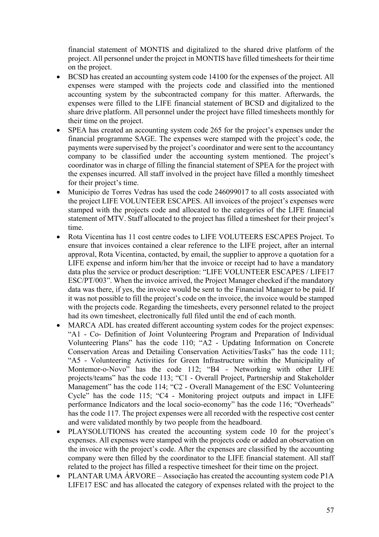financial statement of MONTIS and digitalized to the shared drive platform of the project. All personnel under the project in MONTIS have filled timesheets for their time on the project.

- BCSD has created an accounting system code 14100 for the expenses of the project. All expenses were stamped with the projects code and classified into the mentioned accounting system by the subcontracted company for this matter. Afterwards, the expenses were filled to the LIFE financial statement of BCSD and digitalized to the share drive platform. All personnel under the project have filled timesheets monthly for their time on the project.
- SPEA has created an accounting system code 265 for the project's expenses under the financial programme SAGE. The expenses were stamped with the project's code, the payments were supervised by the project's coordinator and were sent to the accountancy company to be classified under the accounting system mentioned. The project's coordinator was in charge of filling the financial statement of SPEA for the project with the expenses incurred. All staff involved in the project have filled a monthly timesheet for their project's time.
- Municipio de Torres Vedras has used the code 246099017 to all costs associated with the project LIFE VOLUNTEER ESCAPES. All invoices of the project's expenses were stamped with the projects code and allocated to the categories of the LIFE financial statement of MTV. Staff allocated to the project has filled a timesheet for their project's time.
- Rota Vicentina has 11 cost centre codes to LIFE VOLUTEERS ESCAPES Project. To ensure that invoices contained a clear reference to the LIFE project, after an internal approval, Rota Vicentina, contacted, by email, the supplier to approve a quotation for a LIFE expense and inform him/her that the invoice or receipt had to have a mandatory data plus the service or product description: "LIFE VOLUNTEER ESCAPES / LIFE17 ESC/PT/003". When the invoice arrived, the Project Manager checked if the mandatory data was there, if yes, the invoice would be sent to the Financial Manager to be paid. If it was not possible to fill the project's code on the invoice, the invoice would be stamped with the projects code. Regarding the timesheets, every personnel related to the project had its own timesheet, electronically full filed until the end of each month.
- MARCA ADL has created different accounting system codes for the project expenses: "A1 - Co- Definition of Joint Volunteering Program and Preparation of Individual Volunteering Plans" has the code 110; "A2 - Updating Information on Concrete Conservation Areas and Detailing Conservation Activities/Tasks" has the code 111; "A5 - Volunteering Activities for Green Infrastructure within the Municipality of Montemor-o-Novo" has the code 112; "B4 - Networking with other LIFE projects/teams" has the code 113; "C1 - Overall Project, Partnership and Stakeholder Management" has the code 114; "C2 - Overall Management of the ESC Volunteering Cycle" has the code 115; "C4 - Monitoring project outputs and impact in LIFE performance Indicators and the local socio-economy" has the code 116; "Overheads" has the code 117. The project expenses were all recorded with the respective cost center and were validated monthly by two people from the headboard.
- PLAYSOLUTIONS has created the accounting system code 10 for the project's expenses. All expenses were stamped with the projects code or added an observation on the invoice with the project's code. After the expenses are classified by the accounting company were then filled by the coordinator to the LIFE financial statement. All staff related to the project has filled a respective timesheet for their time on the project.
- PLANTAR UMA ÁRVORE Associação has created the accounting system code P1A LIFE17 ESC and has allocated the category of expenses related with the project to the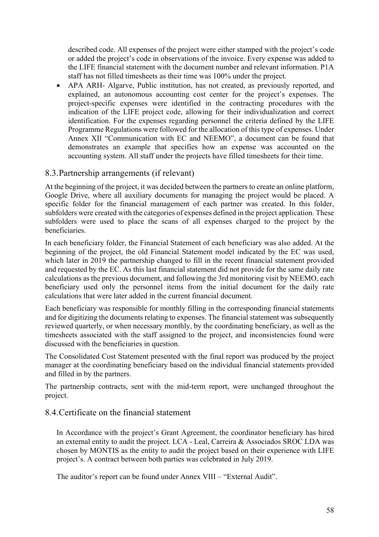described code. All expenses of the project were either stamped with the project's code or added the project's code in observations of the invoice. Every expense was added to the LIFE financial statement with the document number and relevant information. P1A staff has not filled timesheets as their time was 100% under the project.

• APA ARH- Algarve, Public institution, has not created, as previously reported, and explained, an autonomous accounting cost center for the project's expenses. The project-specific expenses were identified in the contracting procedures with the indication of the LIFE project code, allowing for their individualization and correct identification. For the expenses regarding personnel the criteria defined by the LIFE Programme Regulations were followed for the allocation of this type of expenses. Under Annex XII "Communication with EC and NEEMO", a document can be found that demonstrates an example that specifies how an expense was accounted on the accounting system. All staff under the projects have filled timesheets for their time.

# 8.3.Partnership arrangements (if relevant)

At the beginning of the project, it was decided between the partners to create an online platform, Google Drive, where all auxiliary documents for managing the project would be placed. A specific folder for the financial management of each partner was created. In this folder, subfolders were created with the categories of expenses defined in the project application. These subfolders were used to place the scans of all expenses charged to the project by the beneficiaries.

In each beneficiary folder, the Financial Statement of each beneficiary was also added. At the beginning of the project, the old Financial Statement model indicated by the EC was used, which later in 2019 the partnership changed to fill in the recent financial statement provided and requested by the EC. As this last financial statement did not provide for the same daily rate calculations as the previous document, and following the 3rd monitoring visit by NEEMO, each beneficiary used only the personnel items from the initial document for the daily rate calculations that were later added in the current financial document.

Each beneficiary was responsible for monthly filling in the corresponding financial statements and for digitizing the documents relating to expenses. The financial statement was subsequently reviewed quarterly, or when necessary monthly, by the coordinating beneficiary, as well as the timesheets associated with the staff assigned to the project, and inconsistencies found were discussed with the beneficiaries in question.

The Consolidated Cost Statement presented with the final report was produced by the project manager at the coordinating beneficiary based on the individual financial statements provided and filled in by the partners.

The partnership contracts, sent with the mid-term report, were unchanged throughout the project.

# 8.4.Certificate on the financial statement

In Accordance with the project's Grant Agreement, the coordinator beneficiary has hired an external entity to audit the project. LCA - Leal, Carreira & Associados SROC LDA was chosen by MONTIS as the entity to audit the project based on their experience with LIFE project's. A contract between both parties was celebrated in July 2019.

The auditor's report can be found under Annex VIII – "External Audit".